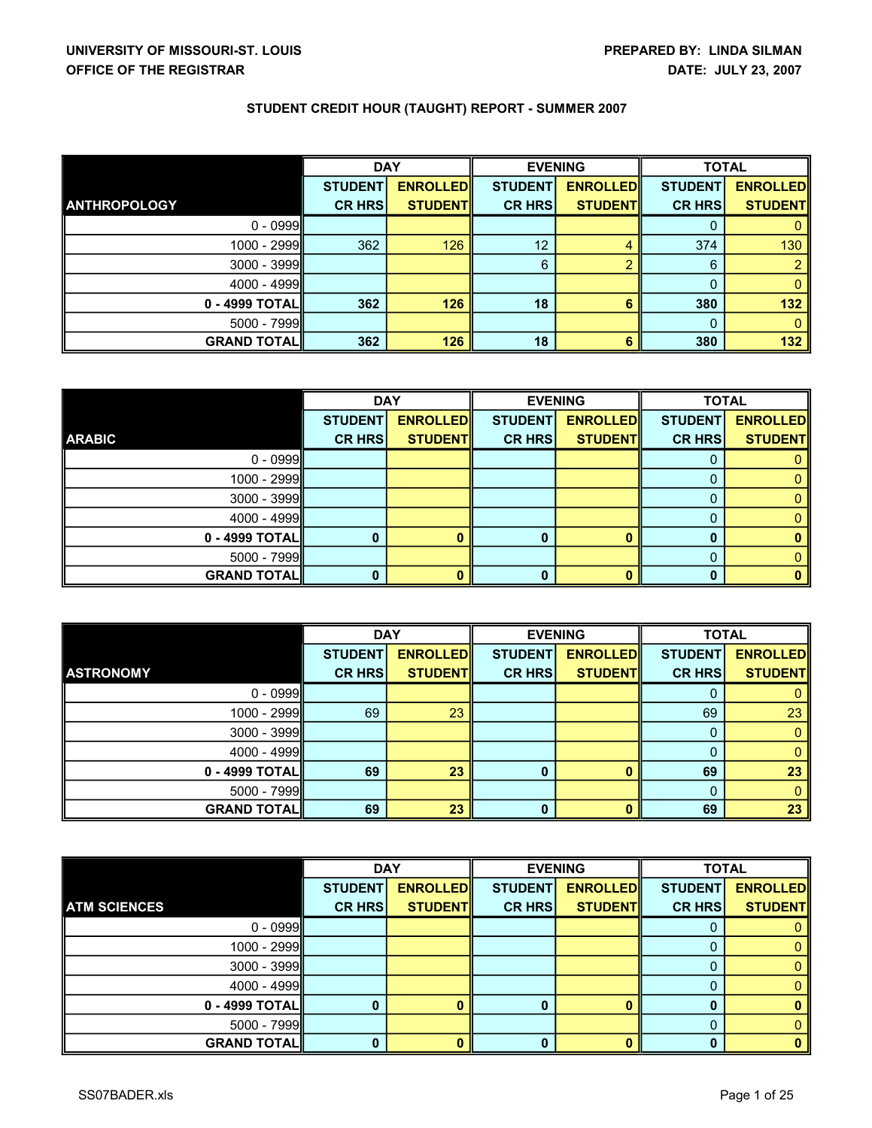|                     | <b>DAY</b>     |                 | <b>EVENING</b> |                 | <b>TOTAL</b>   |                 |
|---------------------|----------------|-----------------|----------------|-----------------|----------------|-----------------|
|                     | <b>STUDENT</b> | <b>ENROLLED</b> | <b>STUDENT</b> | <b>ENROLLED</b> | <b>STUDENT</b> | <b>ENROLLED</b> |
| <b>ANTHROPOLOGY</b> | <b>CR HRS</b>  | <b>STUDENTI</b> | <b>CR HRS</b>  | <b>STUDENT</b>  | <b>CR HRS</b>  | <b>STUDENTI</b> |
| $0 - 0999$          |                |                 |                |                 |                |                 |
| $1000 - 2999$       | 362            | 126             | 12             |                 | 374            | 130             |
| $3000 - 3999$       |                |                 | 6              |                 | 6              | 2               |
| $4000 - 4999$       |                |                 |                |                 |                |                 |
| 0 - 4999 TOTALI     | 362            | 126             | 18             |                 | 380            | 132             |
| $5000 - 7999$       |                |                 |                |                 |                |                 |
| <b>GRAND TOTALI</b> | 362            | 126             | 18             |                 | 380            | 132             |

|                    | <b>DAY</b>     |                 | <b>EVENING</b> |                 | <b>TOTAL</b>   |                 |
|--------------------|----------------|-----------------|----------------|-----------------|----------------|-----------------|
|                    | <b>STUDENT</b> | <b>ENROLLED</b> | <b>STUDENT</b> | <b>ENROLLED</b> | <b>STUDENT</b> | <b>ENROLLED</b> |
| <b>ARABIC</b>      | <b>CR HRS</b>  | <b>STUDENT</b>  | <b>CR HRS</b>  | <b>STUDENT</b>  | <b>CR HRS</b>  | <b>STUDENT</b>  |
| $0 - 0999$         |                |                 |                |                 |                |                 |
| $1000 - 2999$      |                |                 |                |                 |                |                 |
| $3000 - 3999$      |                |                 |                |                 |                |                 |
| $4000 - 4999$      |                |                 |                |                 |                |                 |
| 0 - 4999 TOTAL     | $\bf{0}$       | n               |                |                 |                |                 |
| $5000 - 7999$      |                |                 |                |                 |                |                 |
| <b>GRAND TOTAL</b> | $\bf{0}$       | o               |                |                 |                |                 |

|                    | <b>DAY</b>     |                 | <b>EVENING</b> |                 | <b>TOTAL</b>   |                 |
|--------------------|----------------|-----------------|----------------|-----------------|----------------|-----------------|
|                    | <b>STUDENT</b> | <b>ENROLLED</b> | <b>STUDENT</b> | <b>ENROLLED</b> | <b>STUDENT</b> | <b>ENROLLED</b> |
| <b>ASTRONOMY</b>   | <b>CR HRS</b>  | <b>STUDENT</b>  | <b>CR HRS</b>  | <b>STUDENT</b>  | <b>CR HRS</b>  | <b>STUDENT</b>  |
| $0 - 0999$         |                |                 |                |                 |                |                 |
| 1000 - 2999        | 69             | 23              |                |                 | 69             | 23              |
| $3000 - 3999$      |                |                 |                |                 |                |                 |
| $4000 - 4999$      |                |                 |                |                 |                |                 |
| 0 - 4999 TOTAL     | 69             | 23              | $\bf{0}$       |                 | 69             | 23              |
| $5000 - 7999$      |                |                 |                |                 |                |                 |
| <b>GRAND TOTAL</b> | 69             | 23              | 0              |                 | 69             | 23              |

|                     |                | <b>DAY</b>      |                | <b>EVENING</b>  |                | <b>TOTAL</b>    |
|---------------------|----------------|-----------------|----------------|-----------------|----------------|-----------------|
|                     | <b>STUDENT</b> | <b>ENROLLED</b> | <b>STUDENT</b> | <b>ENROLLED</b> | <b>STUDENT</b> | <b>ENROLLED</b> |
| <b>ATM SCIENCES</b> | <b>CR HRS</b>  | <b>STUDENT</b>  | <b>CR HRS</b>  | <b>STUDENT</b>  | <b>CR HRS</b>  | <b>STUDENT</b>  |
| $0 - 0999$          |                |                 |                |                 |                |                 |
| 1000 - 2999         |                |                 |                |                 |                |                 |
| 3000 - 3999         |                |                 |                |                 |                |                 |
| $4000 - 4999$       |                |                 |                |                 |                |                 |
| 0 - 4999 TOTAL      | 0              |                 | 0              |                 |                | n               |
| 5000 - 7999         |                |                 |                |                 |                |                 |
| <b>GRAND TOTAL</b>  | $\mathbf{0}$   |                 | 0              |                 |                |                 |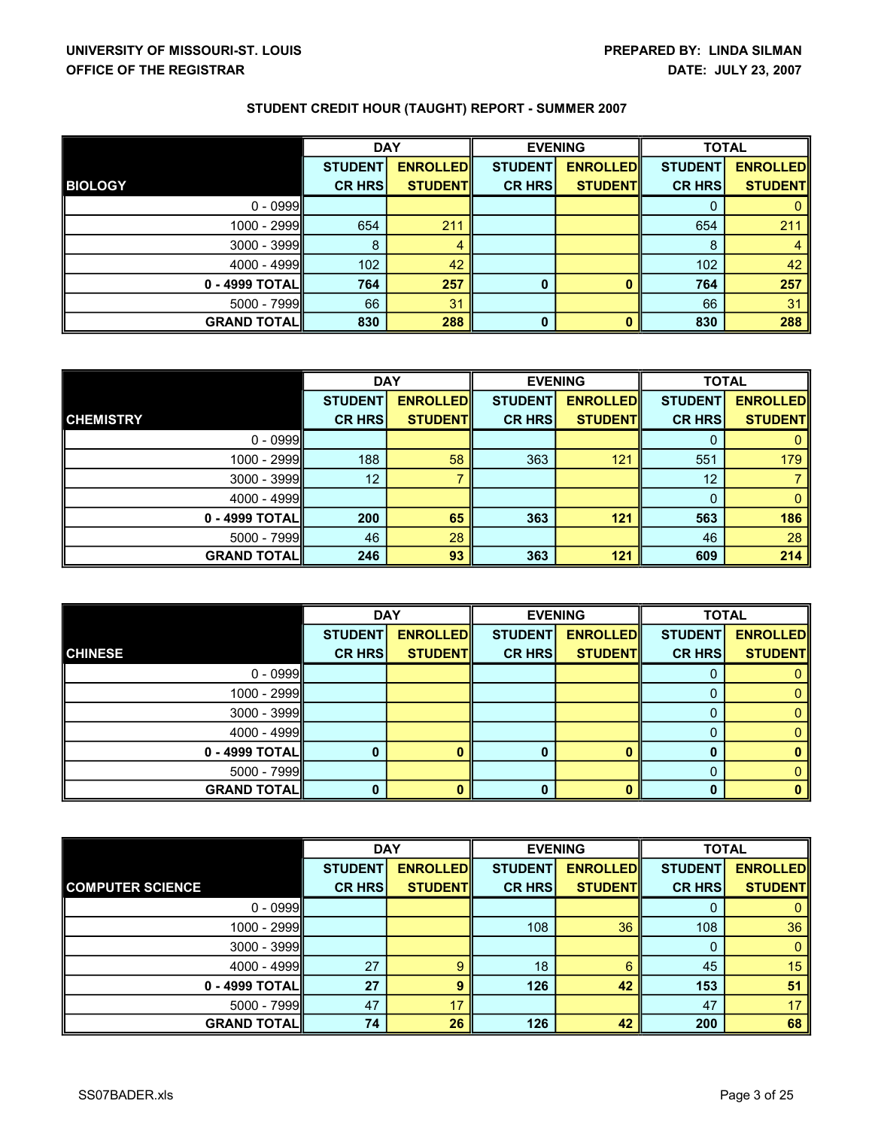|                     | <b>DAY</b>     |                 | <b>EVENING</b> |                 | <b>TOTAL</b>   |                 |
|---------------------|----------------|-----------------|----------------|-----------------|----------------|-----------------|
|                     | <b>STUDENT</b> | <b>ENROLLED</b> | <b>STUDENT</b> | <b>ENROLLED</b> | <b>STUDENT</b> | <b>ENROLLED</b> |
| <b>BIOLOGY</b>      | <b>CR HRS</b>  | <b>STUDENT</b>  | <b>CR HRS</b>  | <b>STUDENT</b>  | <b>CR HRS</b>  | <b>STUDENTI</b> |
| $0 - 0999$          |                |                 |                |                 |                | O               |
| 1000 - 2999         | 654            | 211             |                |                 | 654            | 211             |
| $3000 - 3999$       | 8              | 4               |                |                 | 8              | 4               |
| $4000 - 4999$       | 102            | 42              |                |                 | 102            | 42              |
| 0 - 4999 TOTALI     | 764            | 257             | $\bf{0}$       |                 | 764            | 257             |
| $5000 - 7999$       | 66             | 31              |                |                 | 66             | 31              |
| <b>GRAND TOTALI</b> | 830            | 288             | 0              |                 | 830            | 288             |

|                    | <b>DAY</b>     |                 | <b>EVENING</b> |                 | <b>TOTAL</b>   |                 |
|--------------------|----------------|-----------------|----------------|-----------------|----------------|-----------------|
|                    | <b>STUDENT</b> | <b>ENROLLED</b> | <b>STUDENT</b> | <b>ENROLLED</b> | <b>STUDENT</b> | <b>ENROLLED</b> |
| <b>CHEMISTRY</b>   | <b>CR HRS</b>  | <b>STUDENTI</b> | <b>CR HRS</b>  | <b>STUDENT</b>  | <b>CR HRS</b>  | <b>STUDENTI</b> |
| $0 - 0999$         |                |                 |                |                 |                |                 |
| 1000 - 2999        | 188            | 58              | 363            | 121             | 551            | 179             |
| $3000 - 3999$      | 12             |                 |                |                 | 12             |                 |
| $4000 - 4999$      |                |                 |                |                 |                |                 |
| 0 - 4999 TOTALI    | 200            | 65              | 363            | 121             | 563            | 186             |
| $5000 - 7999$      | 46             | 28              |                |                 | 46             | 28              |
| <b>GRAND TOTAL</b> | 246            | 93              | 363            | 121             | 609            | 214             |

|                    | <b>DAY</b>     |                 | <b>EVENING</b> |                 | <b>TOTAL</b>   |                 |
|--------------------|----------------|-----------------|----------------|-----------------|----------------|-----------------|
|                    | <b>STUDENT</b> | <b>ENROLLED</b> | <b>STUDENT</b> | <b>ENROLLED</b> | <b>STUDENT</b> | <b>ENROLLED</b> |
| <b>CHINESE</b>     | <b>CR HRS</b>  | <b>STUDENT</b>  | <b>CR HRS</b>  | <b>STUDENT</b>  | <b>CR HRS</b>  | <b>STUDENT</b>  |
| $0 - 0999$         |                |                 |                |                 |                |                 |
| $1000 - 2999$      |                |                 |                |                 |                |                 |
| $3000 - 3999$      |                |                 |                |                 |                |                 |
| $4000 - 4999$      |                |                 |                |                 |                |                 |
| $0 - 4999$ TOTAL   |                |                 |                |                 |                |                 |
| $5000 - 7999$      |                |                 |                |                 |                |                 |
| <b>GRAND TOTAL</b> |                | o               |                |                 |                |                 |

|                         | <b>DAY</b>     |                 | <b>EVENING</b> |                 | <b>TOTAL</b>   |                  |
|-------------------------|----------------|-----------------|----------------|-----------------|----------------|------------------|
|                         | <b>STUDENT</b> | <b>ENROLLED</b> | <b>STUDENT</b> | <b>ENROLLED</b> | <b>STUDENT</b> | <b>ENROLLEDI</b> |
| <b>COMPUTER SCIENCE</b> | <b>CR HRS</b>  | <b>STUDENT</b>  | <b>CR HRS</b>  | <b>STUDENT</b>  | <b>CR HRS</b>  | <b>STUDENT</b>   |
| $0 - 0999$              |                |                 |                |                 | Ü              |                  |
| 1000 - 2999             |                |                 | 108            | 36              | 108            | 36               |
| 3000 - 3999             |                |                 |                |                 | $\bf{0}$       |                  |
| 4000 - 4999             | 27             | 9               | 18             |                 | 45             | 15               |
| 0 - 4999 TOTALI         | 27             | 9               | 126            | 42              | 153            | 51               |
| 5000 - 7999             | 47             | 17              |                |                 | 47             | 17               |
| <b>GRAND TOTAL</b>      | 74             | 26              | 126            | 42              | 200            | 68               |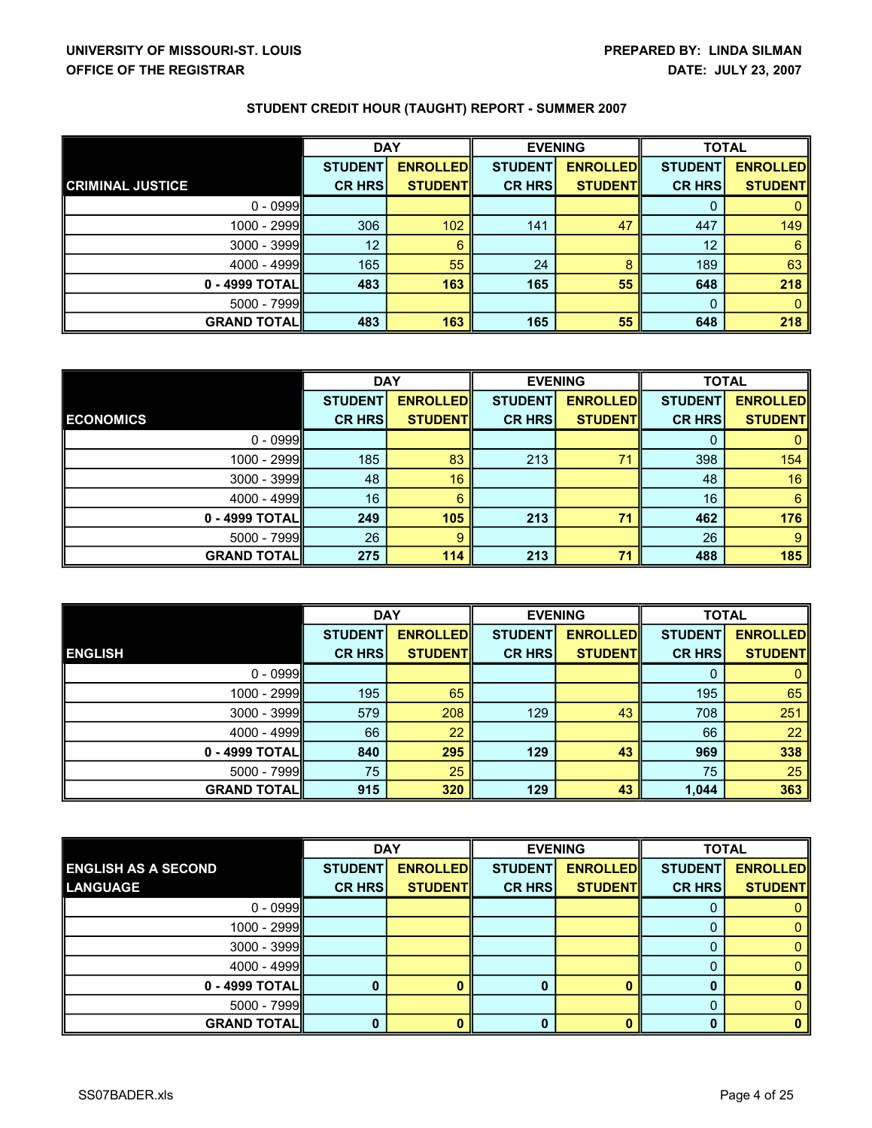| STUDENT CREDIT HOUR (TAUGHT) REPORT - SUMMER 2007 |  |
|---------------------------------------------------|--|
|---------------------------------------------------|--|

|                         | <b>DAY</b>     |                 | <b>EVENING</b> |                 | <b>TOTAL</b>   |                  |
|-------------------------|----------------|-----------------|----------------|-----------------|----------------|------------------|
|                         | <b>STUDENT</b> | <b>ENROLLED</b> | <b>STUDENT</b> | <b>ENROLLED</b> | <b>STUDENT</b> | <b>ENROLLEDI</b> |
| <b>CRIMINAL JUSTICE</b> | <b>CR HRS</b>  | <b>STUDENTI</b> | <b>CR HRS</b>  | <b>STUDENTI</b> | <b>CR HRS</b>  | <b>STUDENTI</b>  |
| $0 - 0999$              |                |                 |                |                 |                |                  |
| 1000 - 2999             | 306            | 102             | 141            | 47              | 447            | 149              |
| $3000 - 3999$           | 12             | 6               |                |                 | 12             | 6                |
| $4000 - 4999$           | 165            | 55              | 24             |                 | 189            | 63               |
| 0 - 4999 TOTAL          | 483            | 163             | 165            | 55              | 648            | 218              |
| $5000 - 7999$           |                |                 |                |                 | $\Omega$       | 0                |
| <b>GRAND TOTAL</b>      | 483            | 163             | 165            | 55              | 648            | 218              |

|                    | <b>DAY</b>     |                 | <b>EVENING</b> |                 | <b>TOTAL</b>   |                 |
|--------------------|----------------|-----------------|----------------|-----------------|----------------|-----------------|
|                    | <b>STUDENT</b> | <b>ENROLLED</b> | <b>STUDENT</b> | <b>ENROLLED</b> | <b>STUDENT</b> | <b>ENROLLED</b> |
| <b>ECONOMICS</b>   | <b>CR HRS</b>  | <b>STUDENTI</b> | <b>CR HRS</b>  | <b>STUDENT</b>  | <b>CR HRS</b>  | <b>STUDENTI</b> |
| $0 - 0999$         |                |                 |                |                 |                |                 |
| 1000 - 2999        | 185            | 83              | 213            | 71              | 398            | 154             |
| $3000 - 3999$      | 48             | 16              |                |                 | 48             | 16              |
| $4000 - 4999$      | 16             | 6               |                |                 | 16             | 6               |
| 0 - 4999 TOTALI    | 249            | 105             | 213            | 71              | 462            | 176             |
| $5000 - 7999$      | 26             | 9               |                |                 | 26             | 9               |
| <b>GRAND TOTAL</b> | 275            | 114             | 213            | 71              | 488            | 185             |

|                    | <b>DAY</b>     |                 | <b>EVENING</b> |                 | <b>TOTAL</b>   |                 |
|--------------------|----------------|-----------------|----------------|-----------------|----------------|-----------------|
|                    | <b>STUDENT</b> | <b>ENROLLED</b> | <b>STUDENT</b> | <b>ENROLLED</b> | <b>STUDENT</b> | <b>ENROLLED</b> |
| <b>ENGLISH</b>     | <b>CR HRS</b>  | <b>STUDENT</b>  | <b>CR HRS</b>  | <b>STUDENT</b>  | <b>CR HRS</b>  | <b>STUDENTI</b> |
| $0 - 0999$         |                |                 |                |                 |                |                 |
| $1000 - 2999$      | 195            | 65              |                |                 | 195            | 65              |
| $3000 - 3999$      | 579            | 208             | 129            | 43              | 708            | 251             |
| $4000 - 4999$      | 66             | 22              |                |                 | 66             | 22              |
| 0 - 4999 TOTALI    | 840            | 295             | 129            | 43              | 969            | 338             |
| $5000 - 7999$      | 75             | 25              |                |                 | 75             | 25              |
| <b>GRAND TOTAL</b> | 915            | 320             | 129            | 43              | 1,044          | 363             |

|                            | <b>DAY</b>     |                 | <b>EVENING</b> |                 | <b>TOTAL</b>   |                 |
|----------------------------|----------------|-----------------|----------------|-----------------|----------------|-----------------|
| <b>ENGLISH AS A SECOND</b> | <b>STUDENT</b> | <b>ENROLLED</b> | <b>STUDENT</b> | <b>ENROLLED</b> | <b>STUDENT</b> | <b>ENROLLED</b> |
| <b>LANGUAGE</b>            | <b>CR HRS</b>  | <b>STUDENT</b>  | <b>CR HRSI</b> | <b>STUDENTI</b> | <b>CR HRS</b>  | <b>STUDENTI</b> |
| $0 - 0999$                 |                |                 |                |                 |                |                 |
| 1000 - 2999                |                |                 |                |                 |                |                 |
| $3000 - 3999$              |                |                 |                |                 |                |                 |
| $4000 - 4999$              |                |                 |                |                 |                |                 |
| 0 - 4999 TOTAL             |                |                 |                |                 |                |                 |
| $5000 - 7999$              |                |                 |                |                 |                |                 |
| <b>GRAND TOTAL</b>         |                |                 |                |                 |                |                 |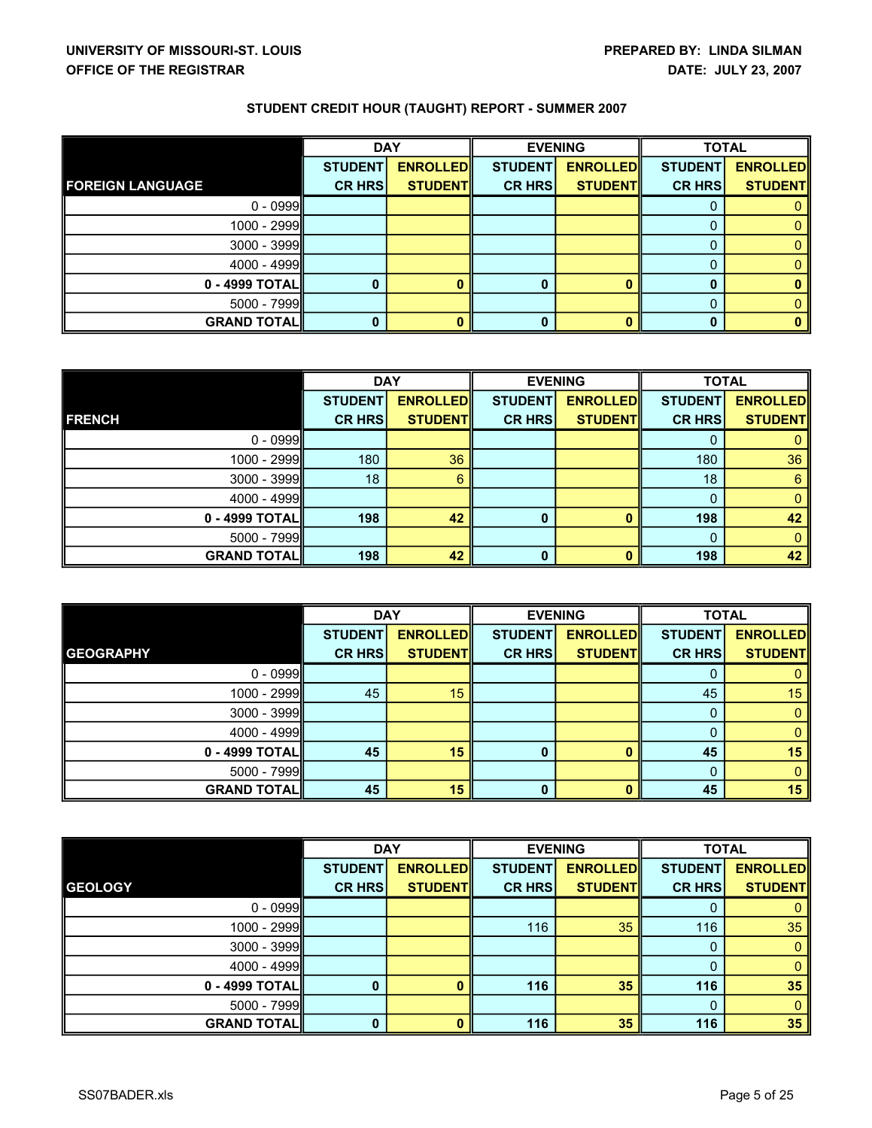|                         | <b>DAY</b>     |                 | <b>EVENING</b> |                 | <b>TOTAL</b>   |                 |
|-------------------------|----------------|-----------------|----------------|-----------------|----------------|-----------------|
|                         | <b>STUDENT</b> | <b>ENROLLED</b> | <b>STUDENT</b> | <b>ENROLLED</b> | <b>STUDENT</b> | <b>ENROLLED</b> |
| <b>FOREIGN LANGUAGE</b> | <b>CR HRS</b>  | <b>STUDENTI</b> | <b>CR HRS</b>  | <b>STUDENT</b>  | <b>CR HRS</b>  | <b>STUDENT</b>  |
| $0 - 0999$              |                |                 |                |                 | O              |                 |
| 1000 - 2999             |                |                 |                |                 |                |                 |
| $3000 - 3999$           |                |                 |                |                 |                |                 |
| $4000 - 4999$           |                |                 |                |                 |                |                 |
| $0 - 4999$ TOTAL        | 0              | 0               | 0              |                 |                | 0               |
| $5000 - 7999$           |                |                 |                |                 |                |                 |
| <b>GRAND TOTALI</b>     |                | 0               | 0              |                 |                | 0               |

|                     | <b>DAY</b>     |                 | <b>EVENING</b> |                 | <b>TOTAL</b>   |                 |
|---------------------|----------------|-----------------|----------------|-----------------|----------------|-----------------|
|                     | <b>STUDENT</b> | <b>ENROLLED</b> | <b>STUDENT</b> | <b>ENROLLED</b> | <b>STUDENT</b> | <b>ENROLLED</b> |
| <b>FRENCH</b>       | <b>CR HRS</b>  | <b>STUDENT</b>  | <b>CR HRS</b>  | <b>STUDENT</b>  | <b>CR HRS</b>  | <b>STUDENTI</b> |
| $0 - 0999$          |                |                 |                |                 |                |                 |
| $1000 - 2999$       | 180            | 36              |                |                 | 180            | 36              |
| $3000 - 3999$       | 18             | 6               |                |                 | 18             | 6               |
| $4000 - 4999$       |                |                 |                |                 |                | 0               |
| $0 - 4999$ TOTAL    | 198            | 42              | 0              |                 | 198            | 42              |
| $5000 - 7999$       |                |                 |                |                 |                | 0               |
| <b>GRAND TOTALI</b> | 198            | 42              | 0              |                 | 198            | 42              |

|                    | <b>DAY</b>     |                 |                | <b>EVENING</b>  |                | <b>TOTAL</b>    |
|--------------------|----------------|-----------------|----------------|-----------------|----------------|-----------------|
|                    | <b>STUDENT</b> | <b>ENROLLED</b> | <b>STUDENT</b> | <b>ENROLLED</b> | <b>STUDENT</b> | <b>ENROLLED</b> |
| <b>GEOGRAPHY</b>   | <b>CR HRS</b>  | <b>STUDENT</b>  | <b>CR HRS</b>  | <b>STUDENTI</b> | <b>CR HRS</b>  | <b>STUDENTI</b> |
| $0 - 0999$         |                |                 |                |                 |                |                 |
| $1000 - 2999$      | 45             | 15              |                |                 | 45             | 15              |
| $3000 - 3999$      |                |                 |                |                 |                |                 |
| $4000 - 4999$      |                |                 |                |                 |                |                 |
| 0 - 4999 TOTAL     | 45             | 15              |                |                 | 45             | 15              |
| $5000 - 7999$      |                |                 |                |                 |                |                 |
| <b>GRAND TOTAL</b> | 45             | 15              |                |                 | 45             | 15              |

|                    | <b>DAY</b>     |                 | <b>EVENING</b> |                 | <b>TOTAL</b>   |                 |
|--------------------|----------------|-----------------|----------------|-----------------|----------------|-----------------|
|                    | <b>STUDENT</b> | <b>ENROLLED</b> | <b>STUDENT</b> | <b>ENROLLED</b> | <b>STUDENT</b> | <b>ENROLLED</b> |
| <b>GEOLOGY</b>     | <b>CR HRS</b>  | <b>STUDENT</b>  | <b>CR HRS</b>  | <b>STUDENT</b>  | <b>CR HRS</b>  | <b>STUDENT</b>  |
| $0 - 0999$         |                |                 |                |                 | O              |                 |
| 1000 - 2999        |                |                 | 116            | 35              | 116            | 35              |
| $3000 - 3999$      |                |                 |                |                 |                |                 |
| 4000 - 4999        |                |                 |                |                 | 0              |                 |
| 0 - 4999 TOTALI    | 0              |                 | 116            | 35              | 116            | 35              |
| 5000 - 7999        |                |                 |                |                 |                |                 |
| <b>GRAND TOTAL</b> | 0              |                 | 116            | 35 <sup>°</sup> | 116            | 35              |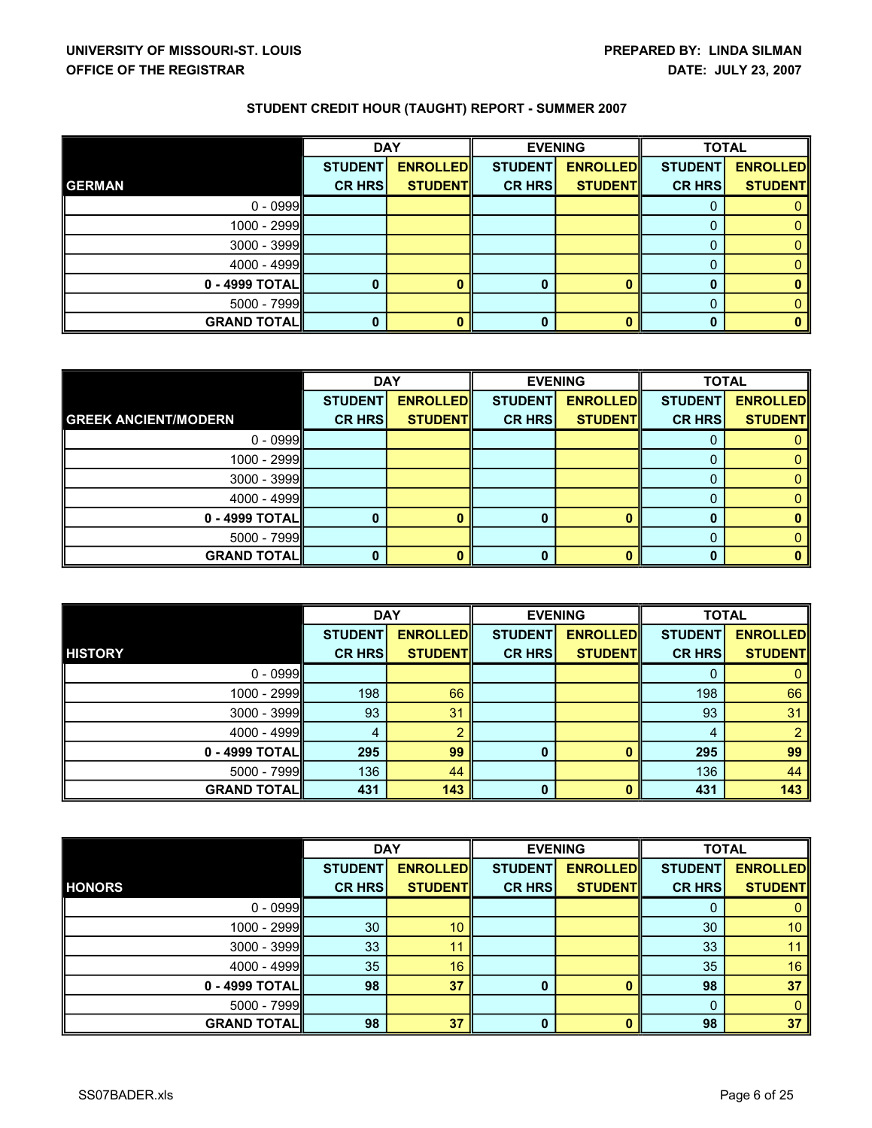|                    | <b>DAY</b>     |                 |                | <b>EVENING</b>  | <b>TOTAL</b>   |                 |
|--------------------|----------------|-----------------|----------------|-----------------|----------------|-----------------|
|                    | <b>STUDENT</b> | <b>ENROLLED</b> | <b>STUDENT</b> | <b>ENROLLED</b> | <b>STUDENT</b> | <b>ENROLLED</b> |
| <b>GERMAN</b>      | <b>CR HRS</b>  | <b>STUDENT</b>  | <b>CR HRS</b>  | <b>STUDENT</b>  | <b>CR HRS</b>  | <b>STUDENT</b>  |
| $0 - 0999$         |                |                 |                |                 |                |                 |
| $1000 - 2999$      |                |                 |                |                 |                |                 |
| $3000 - 3999$      |                |                 |                |                 |                |                 |
| $4000 - 4999$      |                |                 |                |                 |                |                 |
| $0 - 4999$ TOTAL   |                |                 |                |                 |                |                 |
| $5000 - 7999$      |                |                 |                |                 |                |                 |
| <b>GRAND TOTAL</b> |                | 0               |                |                 |                | 0               |

|                             | <b>DAY</b>     |                 | <b>EVENING</b> |                 | <b>TOTAL</b>   |                 |
|-----------------------------|----------------|-----------------|----------------|-----------------|----------------|-----------------|
|                             | <b>STUDENT</b> | <b>ENROLLED</b> | <b>STUDENT</b> | <b>ENROLLED</b> | <b>STUDENT</b> | <b>ENROLLED</b> |
| <b>GREEK ANCIENT/MODERN</b> | <b>CR HRS</b>  | <b>STUDENT</b>  | <b>CR HRS</b>  | <b>STUDENT</b>  | <b>CR HRS</b>  | <b>STUDENT</b>  |
| $0 - 0999$                  |                |                 |                |                 |                |                 |
| $1000 - 2999$               |                |                 |                |                 |                |                 |
| $3000 - 3999$               |                |                 |                |                 |                |                 |
| $4000 - 4999$               |                |                 |                |                 |                |                 |
| $0 - 4999$ TOTAL            |                | n               |                |                 |                |                 |
| $5000 - 7999$               |                |                 |                |                 |                |                 |
| <b>GRAND TOTAL</b>          |                | 0               |                |                 |                |                 |

|                    | <b>DAY</b>     |                 |                | <b>EVENING</b>  | <b>TOTAL</b>   |                 |
|--------------------|----------------|-----------------|----------------|-----------------|----------------|-----------------|
|                    | <b>STUDENT</b> | <b>ENROLLED</b> | <b>STUDENT</b> | <b>ENROLLED</b> | <b>STUDENT</b> | <b>ENROLLED</b> |
| <b>HISTORY</b>     | <b>CR HRS</b>  | <b>STUDENT</b>  | <b>CR HRS</b>  | <b>STUDENT</b>  | <b>CR HRS</b>  | <b>STUDENTI</b> |
| $0 - 0999$         |                |                 |                |                 |                |                 |
| $1000 - 2999$      | 198            | 66              |                |                 | 198            | 66              |
| $3000 - 3999$      | 93             | 31              |                |                 | 93             | 31              |
| $4000 - 4999$      | 4              |                 |                |                 |                | ≘               |
| $0 - 4999$ TOTAL   | 295            | 99              |                |                 | 295            | 99              |
| $5000 - 7999$      | 136            | 44              |                |                 | 136            | 44              |
| <b>GRAND TOTAL</b> | 431            | 143             | O              |                 | 431            | 143             |

|                    | <b>DAY</b>     |                 | <b>EVENING</b> |                 | <b>TOTAL</b>    |                 |
|--------------------|----------------|-----------------|----------------|-----------------|-----------------|-----------------|
|                    | <b>STUDENT</b> | <b>ENROLLED</b> | <b>STUDENT</b> | <b>ENROLLED</b> | <b>STUDENT</b>  | <b>ENROLLED</b> |
| <b>HONORS</b>      | <b>CR HRS</b>  | <b>STUDENT</b>  | <b>CR HRS</b>  | <b>STUDENT</b>  | <b>CR HRS</b>   | <b>STUDENTI</b> |
| $0 - 0999$         |                |                 |                |                 | O               |                 |
| 1000 - 2999        | 30             | 10              |                |                 | 30              | 10              |
| 3000 - 3999        | 33             | 11              |                |                 | 33 <sup>°</sup> | 11              |
| 4000 - 4999        | 35             | 16              |                |                 | 35              | 16              |
| 0 - 4999 TOTALI    | 98             | 37              | 0              |                 | 98              | 37              |
| 5000 - 7999        |                |                 |                |                 |                 |                 |
| <b>GRAND TOTAL</b> | 98             | 37              | 0              |                 | 98              | 37              |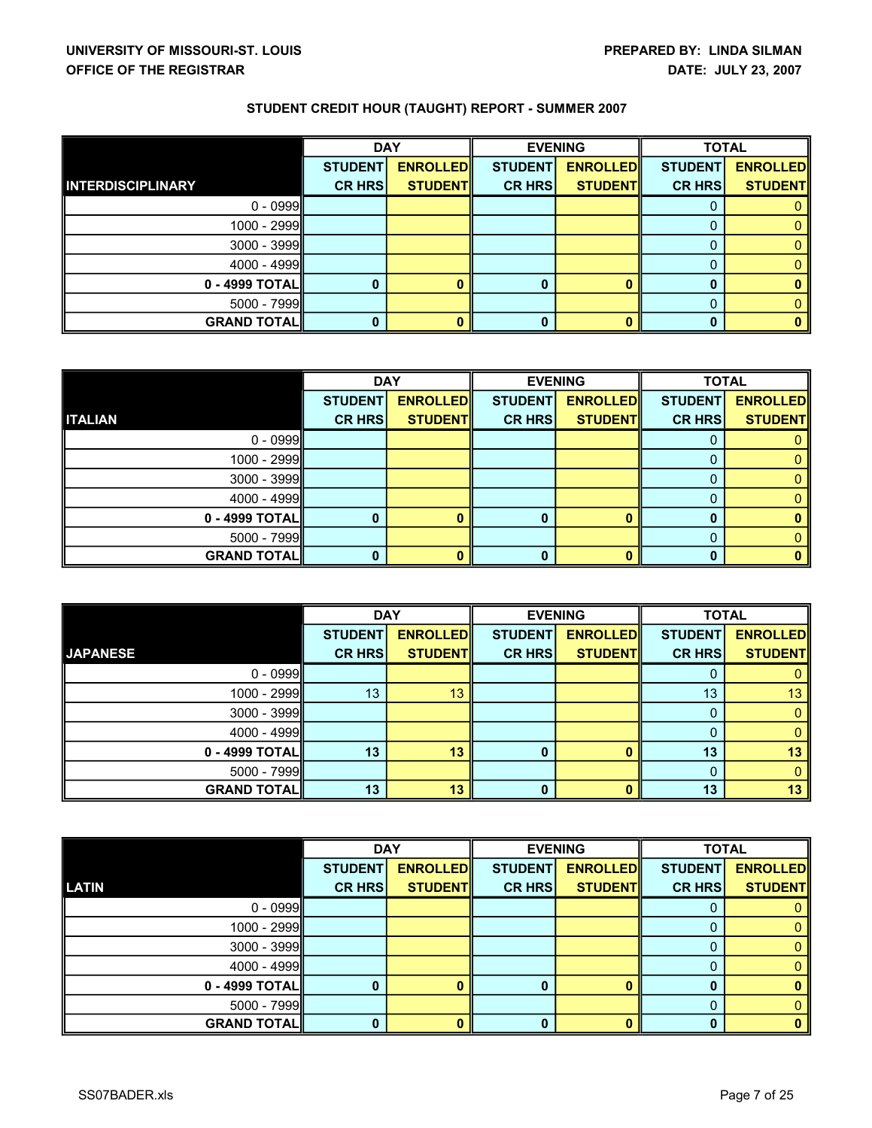|                          | <b>DAY</b>     |                 | <b>EVENING</b> |                 | <b>TOTAL</b>   |                 |
|--------------------------|----------------|-----------------|----------------|-----------------|----------------|-----------------|
|                          | <b>STUDENT</b> | <b>ENROLLED</b> | <b>STUDENT</b> | <b>ENROLLED</b> | <b>STUDENT</b> | <b>ENROLLED</b> |
| <b>INTERDISCIPLINARY</b> | <b>CR HRS</b>  | <b>STUDENT</b>  | <b>CR HRS</b>  | <b>STUDENT</b>  | <b>CR HRS</b>  | <b>STUDENT</b>  |
| $0 - 0999$               |                |                 |                |                 |                |                 |
| $1000 - 2999$            |                |                 |                |                 |                |                 |
| $3000 - 3999$            |                |                 |                |                 |                |                 |
| $4000 - 4999$            |                |                 |                |                 |                |                 |
| $0 - 4999$ TOTAL         |                |                 |                |                 |                |                 |
| $5000 - 7999$            |                |                 |                |                 |                |                 |
| <b>GRAND TOTAL</b>       |                | 0               |                |                 |                |                 |

|                    | <b>DAY</b>     |                 |                | <b>EVENING</b>  | <b>TOTAL</b>   |                 |
|--------------------|----------------|-----------------|----------------|-----------------|----------------|-----------------|
|                    | <b>STUDENT</b> | <b>ENROLLED</b> | <b>STUDENT</b> | <b>ENROLLED</b> | <b>STUDENT</b> | <b>ENROLLED</b> |
| <b>ITALIAN</b>     | <b>CR HRS</b>  | <b>STUDENT</b>  | <b>CR HRS</b>  | <b>STUDENT</b>  | <b>CR HRS</b>  | <b>STUDENT</b>  |
| $0 - 0999$         |                |                 |                |                 |                |                 |
| $1000 - 2999$      |                |                 |                |                 |                |                 |
| $3000 - 3999$      |                |                 |                |                 |                |                 |
| $4000 - 4999$      |                |                 |                |                 |                |                 |
| $0 - 4999$ TOTAL   |                | n               |                |                 |                |                 |
| $5000 - 7999$      |                |                 |                |                 |                |                 |
| <b>GRAND TOTAL</b> |                | 0               |                |                 |                |                 |

|                    | <b>DAY</b>     |                 | <b>EVENING</b> |                 | <b>TOTAL</b>   |                 |
|--------------------|----------------|-----------------|----------------|-----------------|----------------|-----------------|
|                    | <b>STUDENT</b> | <b>ENROLLED</b> | <b>STUDENT</b> | <b>ENROLLED</b> | <b>STUDENT</b> | <b>ENROLLED</b> |
| <b>JAPANESE</b>    | <b>CR HRS</b>  | <b>STUDENT</b>  | <b>CR HRS</b>  | <b>STUDENT</b>  | <b>CR HRS</b>  | <b>STUDENTI</b> |
| $0 - 0999$         |                |                 |                |                 |                |                 |
| $1000 - 2999$      | 13             | 13              |                |                 | 13             | 13              |
| $3000 - 3999$      |                |                 |                |                 |                |                 |
| $4000 - 4999$      |                |                 |                |                 |                |                 |
| $0 - 4999$ TOTAL   | 13             | 13              |                |                 | 13             | 13              |
| $5000 - 7999$      |                |                 |                |                 |                |                 |
| <b>GRAND TOTAL</b> | 13             | 13              |                |                 | 13             | 13              |

|                    | <b>DAY</b>     |                 | <b>EVENING</b> |                 | <b>TOTAL</b>   |                 |
|--------------------|----------------|-----------------|----------------|-----------------|----------------|-----------------|
|                    | <b>STUDENT</b> | <b>ENROLLED</b> | <b>STUDENT</b> | <b>ENROLLED</b> | <b>STUDENT</b> | <b>ENROLLED</b> |
| <b>LATIN</b>       | <b>CR HRS</b>  | <b>STUDENT</b>  | <b>CR HRS</b>  | <b>STUDENT</b>  | <b>CR HRS</b>  | <b>STUDENT</b>  |
| $0 - 0999$         |                |                 |                |                 |                |                 |
| 1000 - 2999        |                |                 |                |                 |                |                 |
| $3000 - 3999$      |                |                 |                |                 |                |                 |
| 4000 - 4999        |                |                 |                |                 |                |                 |
| 0 - 4999 TOTAL     | $\bf{0}$       |                 | 0              |                 |                |                 |
| 5000 - 7999        |                |                 |                |                 |                |                 |
| <b>GRAND TOTAL</b> | 0              |                 | 0              |                 |                |                 |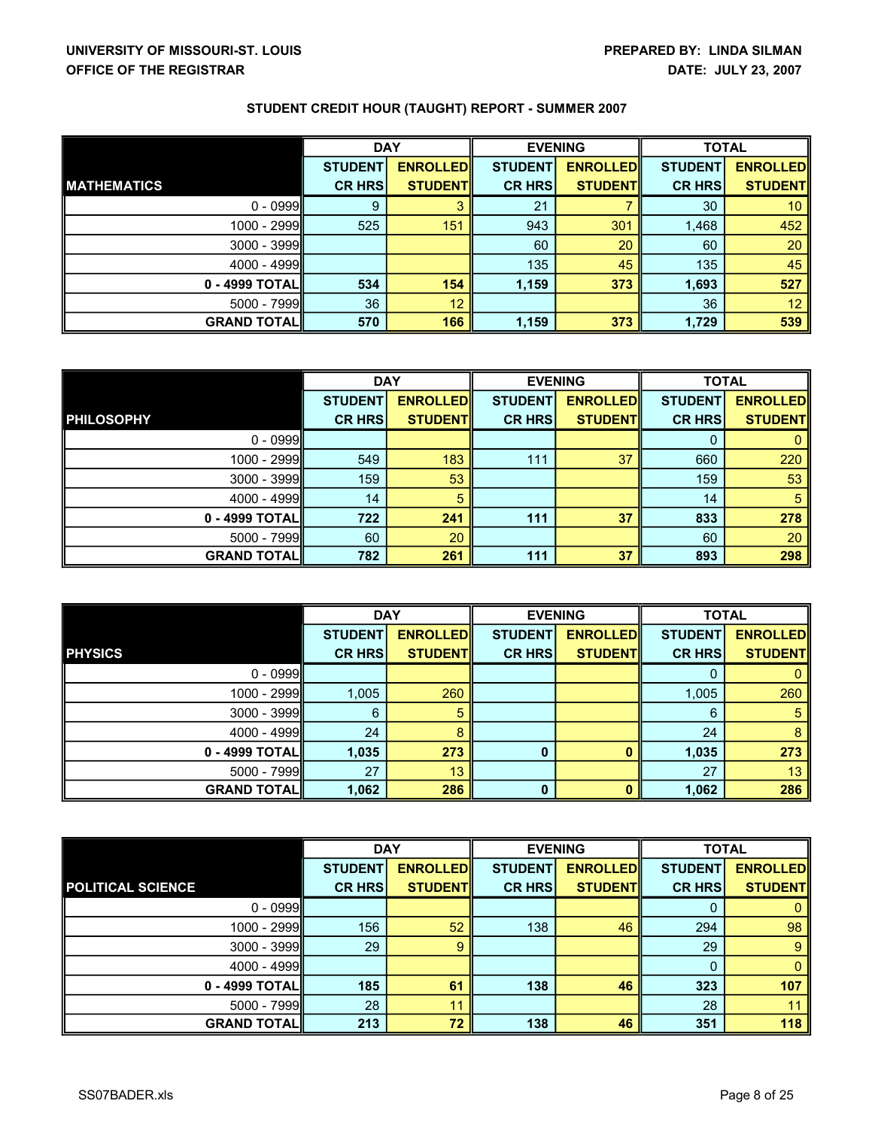|                     | <b>DAY</b>     |                 | <b>EVENING</b> |                 | <b>TOTAL</b>   |                 |
|---------------------|----------------|-----------------|----------------|-----------------|----------------|-----------------|
|                     | <b>STUDENT</b> | <b>ENROLLED</b> | <b>STUDENT</b> | <b>ENROLLED</b> | <b>STUDENT</b> | <b>ENROLLED</b> |
| <b>MATHEMATICS</b>  | <b>CR HRS</b>  | <b>STUDENT</b>  | <b>CR HRS</b>  | <b>STUDENTI</b> | <b>CR HRS</b>  | <b>STUDENTI</b> |
| $0 - 0999$          | 9              | 3               | 21             |                 | 30             | 10              |
| 1000 - 2999         | 525            | 151             | 943            | 301             | 1,468          | 452             |
| $3000 - 3999$       |                |                 | 60             | 20              | 60             | 20              |
| $4000 - 4999$       |                |                 | 135            | 45              | 135            | 45              |
| 0 - 4999 TOTALI     | 534            | 154             | 1,159          | 373             | 1,693          | 527             |
| $5000 - 7999$       | 36             | 12              |                |                 | 36             | 12 <sup>°</sup> |
| <b>GRAND TOTALI</b> | 570            | 166             | 1,159          | 373             | 1,729          | 539             |

|                    | <b>DAY</b>     |                 | <b>EVENING</b> |                 | <b>TOTAL</b>   |                 |
|--------------------|----------------|-----------------|----------------|-----------------|----------------|-----------------|
|                    | <b>STUDENT</b> | <b>ENROLLED</b> | <b>STUDENT</b> | <b>ENROLLED</b> | <b>STUDENT</b> | <b>ENROLLED</b> |
| <b>PHILOSOPHY</b>  | <b>CR HRS</b>  | <b>STUDENT</b>  | <b>CR HRS</b>  | <b>STUDENT</b>  | <b>CR HRS</b>  | <b>STUDENTI</b> |
| $0 - 0999$         |                |                 |                |                 |                |                 |
| 1000 - 2999        | 549            | 183             | 111            | 37              | 660            | 220             |
| $3000 - 3999$      | 159            | 53              |                |                 | 159            | 53              |
| $4000 - 4999$      | 14             | 5               |                |                 | 14             | 5               |
| 0 - 4999 TOTALI    | 722            | 241             | 111            | 37              | 833            | 278             |
| $5000 - 7999$      | 60             | 20              |                |                 | 60             | 20              |
| <b>GRAND TOTAL</b> | 782            | 261             | 111            | 37              | 893            | 298             |

|                    | <b>DAY</b>     |                 | <b>EVENING</b> |                 | <b>TOTAL</b>   |                 |
|--------------------|----------------|-----------------|----------------|-----------------|----------------|-----------------|
|                    | <b>STUDENT</b> | <b>ENROLLED</b> | <b>STUDENT</b> | <b>ENROLLED</b> | <b>STUDENT</b> | <b>ENROLLED</b> |
| <b>PHYSICS</b>     | <b>CR HRS</b>  | <b>STUDENT</b>  | <b>CR HRS</b>  | <b>STUDENT</b>  | <b>CR HRS</b>  | <b>STUDENTI</b> |
| $0 - 0999$         |                |                 |                |                 |                |                 |
| 1000 - 2999        | 1,005          | 260             |                |                 | 1,005          | 260             |
| $3000 - 3999$      | 6              | 5               |                |                 | 6              | 5               |
| $4000 - 4999$      | 24             | 8               |                |                 | 24             | 8               |
| $0 - 4999$ TOTAL   | 1,035          | 273             |                |                 | 1,035          | 273             |
| $5000 - 7999$      | 27             | 13              |                |                 | 27             | 13              |
| <b>GRAND TOTAL</b> | 1,062          | 286             | 0              |                 | 1,062          | 286             |

|                          | <b>DAY</b>     |                 | <b>EVENING</b> |                 | <b>TOTAL</b>   |                 |
|--------------------------|----------------|-----------------|----------------|-----------------|----------------|-----------------|
|                          | <b>STUDENT</b> | <b>ENROLLED</b> | <b>STUDENT</b> | <b>ENROLLED</b> | <b>STUDENT</b> | <b>ENROLLED</b> |
| <b>POLITICAL SCIENCE</b> | <b>CR HRS</b>  | <b>STUDENT</b>  | <b>CR HRS</b>  | <b>STUDENTI</b> | <b>CR HRS</b>  | <b>STUDENT</b>  |
| $0 - 0999$               |                |                 |                |                 | 0              |                 |
| 1000 - 2999              | 156            | 52              | 138            | 46              | 294            | 98              |
| 3000 - 3999              | 29             | 9               |                |                 | 29             | 9               |
| 4000 - 4999              |                |                 |                |                 |                |                 |
| 0 - 4999 TOTAL           | 185            | 61              | 138            | 46              | 323            | 107             |
| 5000 - 7999              | 28             | 11              |                |                 | 28             | 11              |
| <b>GRAND TOTAL</b>       | 213            | 72              | 138            | 46              | 351            | 118             |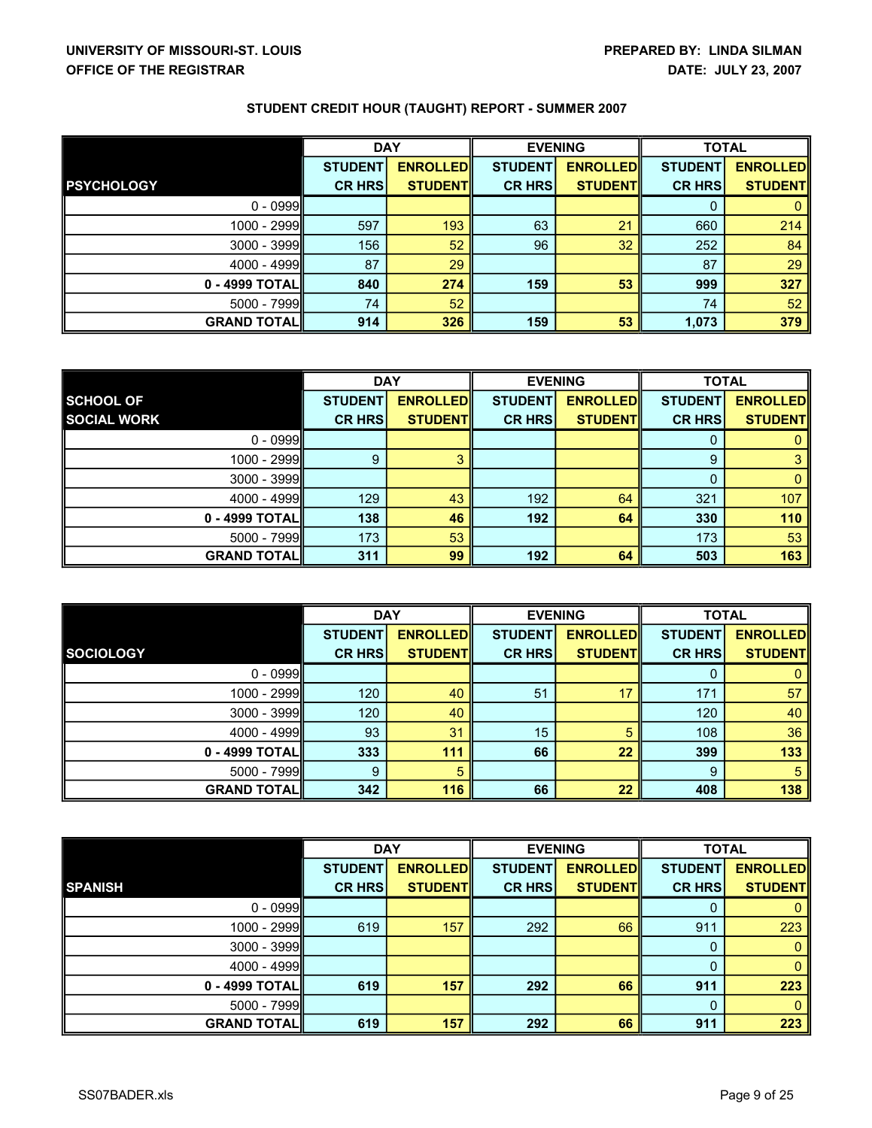|                    | <b>DAY</b>     |                 | <b>EVENING</b> |                 | <b>TOTAL</b>   |                 |
|--------------------|----------------|-----------------|----------------|-----------------|----------------|-----------------|
|                    | <b>STUDENT</b> | <b>ENROLLED</b> | <b>STUDENT</b> | <b>ENROLLED</b> | <b>STUDENT</b> | <b>ENROLLED</b> |
| <b>PSYCHOLOGY</b>  | <b>CR HRS</b>  | <b>STUDENT</b>  | <b>CR HRS</b>  | <b>STUDENTI</b> | <b>CR HRS</b>  | <b>STUDENTI</b> |
| $0 - 0999$         |                |                 |                |                 | 0              | 0               |
| 1000 - 2999        | 597            | 193             | 63             | 21              | 660            | 214             |
| 3000 - 3999        | 156            | 52              | 96             | 32              | 252            | 84              |
| 4000 - 4999        | 87             | 29              |                |                 | 87             | 29              |
| 0 - 4999 TOTALI    | 840            | 274             | 159            | 53              | 999            | 327             |
| 5000 - 7999        | 74             | 52              |                |                 | 74             | 52              |
| <b>GRAND TOTAL</b> | 914            | 326             | 159            | 53              | 1,073          | 379             |

|                    | <b>DAY</b>     |                  | <b>EVENING</b> |                 | <b>TOTAL</b>   |                 |
|--------------------|----------------|------------------|----------------|-----------------|----------------|-----------------|
| <b>SCHOOL OF</b>   | <b>STUDENT</b> | <b>ENROLLEDI</b> | <b>STUDENT</b> | <b>ENROLLED</b> | <b>STUDENT</b> | <b>ENROLLED</b> |
| <b>SOCIAL WORK</b> | <b>CR HRS</b>  | <b>STUDENT</b>   | <b>CR HRS</b>  | <b>STUDENTI</b> | <b>CR HRS</b>  | <b>STUDENTI</b> |
| $0 - 0999$         |                |                  |                |                 |                |                 |
| 1000 - 2999        | 9              |                  |                |                 | 9              | 3               |
| 3000 - 3999        |                |                  |                |                 |                |                 |
| $4000 - 4999$      | 129            | 43               | 192            | 64              | 321            | 107             |
| 0 - 4999 TOTALI    | 138            | 46               | 192            | 64              | 330            | 110             |
| 5000 - 7999        | 173            | 53               |                |                 | 173            | 53              |
| <b>GRAND TOTAL</b> | 311            | 99               | 192            | 64              | 503            | 163             |

|                    | <b>DAY</b>     |                 | <b>EVENING</b> |                 | <b>TOTAL</b>   |                 |
|--------------------|----------------|-----------------|----------------|-----------------|----------------|-----------------|
|                    | <b>STUDENT</b> | <b>ENROLLED</b> | <b>STUDENT</b> | <b>ENROLLED</b> | <b>STUDENT</b> | <b>ENROLLED</b> |
| <b>SOCIOLOGY</b>   | <b>CR HRS</b>  | <b>STUDENT</b>  | <b>CR HRS</b>  | <b>STUDENT</b>  | <b>CR HRS</b>  | <b>STUDENTI</b> |
| $0 - 0999$         |                |                 |                |                 |                |                 |
| 1000 - 2999        | 120            | 40              | 51             | 17              | 171            | 57              |
| $3000 - 3999$      | 120            | 40              |                |                 | 120            | 40              |
| $4000 - 4999$      | 93             | 31              | 15             |                 | 108            | 36              |
| 0 - 4999 TOTALI    | 333            | 111             | 66             | 22              | 399            | 133             |
| $5000 - 7999$      | 9              | 5               |                |                 | 9              | 5               |
| <b>GRAND TOTAL</b> | 342            | 116             | 66             | 22              | 408            | 138             |

|                    | <b>DAY</b>     |                 | <b>EVENING</b> |                 | <b>TOTAL</b>   |                 |
|--------------------|----------------|-----------------|----------------|-----------------|----------------|-----------------|
|                    | <b>STUDENT</b> | <b>ENROLLED</b> | <b>STUDENT</b> | <b>ENROLLED</b> | <b>STUDENT</b> | <b>ENROLLED</b> |
| <b>SPANISH</b>     | <b>CR HRS</b>  | <b>STUDENTI</b> | <b>CR HRS</b>  | <b>STUDENTI</b> | <b>CR HRS</b>  | <b>STUDENTI</b> |
| $0 - 0999$         |                |                 |                |                 |                |                 |
| 1000 - 2999        | 619            | 157             | 292            | 66              | 911            | 223             |
| 3000 - 3999        |                |                 |                |                 |                |                 |
| 4000 - 4999        |                |                 |                |                 |                |                 |
| 0 - 4999 TOTAL     | 619            | 157             | 292            | 66              | 911            | 223             |
| 5000 - 7999        |                |                 |                |                 |                |                 |
| <b>GRAND TOTAL</b> | 619            | 157             | 292            | 66              | 911            | 223             |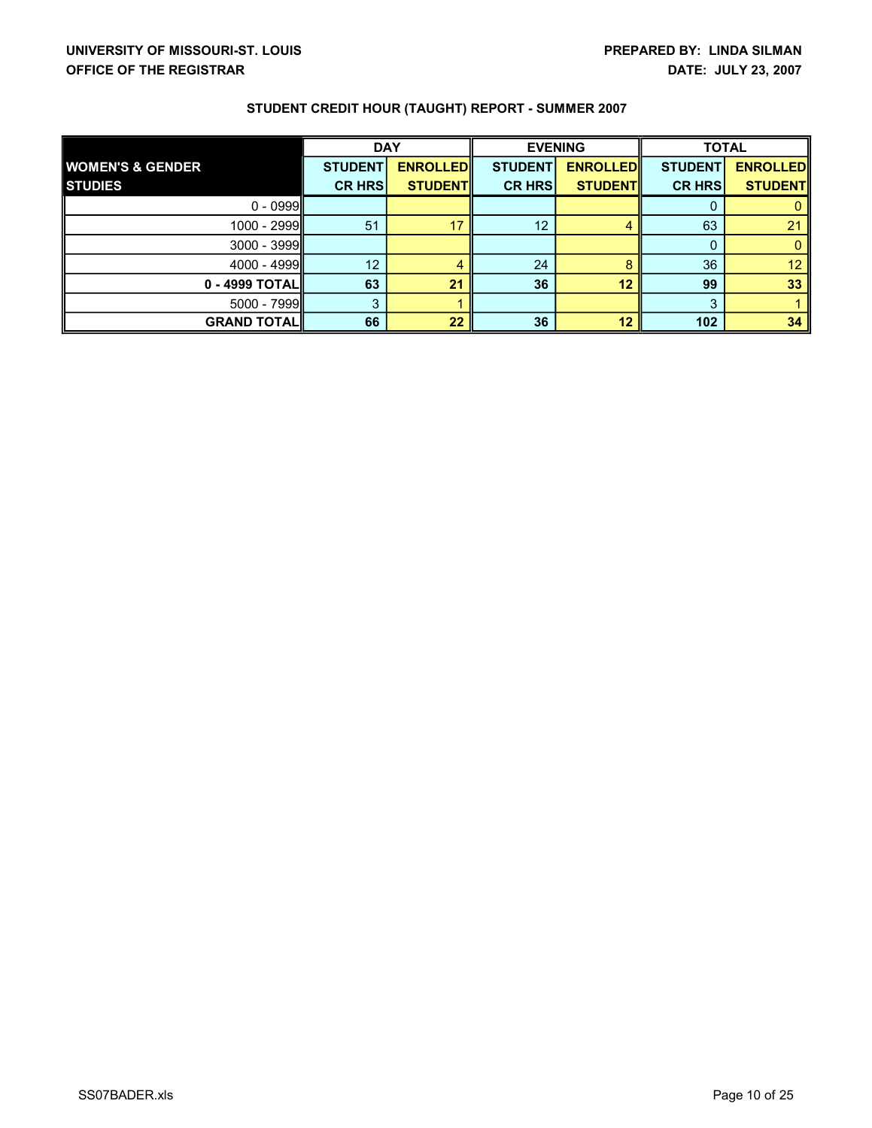|                             | <b>DAY</b>     |                 | <b>EVENING</b> |                 | <b>TOTAL</b>   |                 |
|-----------------------------|----------------|-----------------|----------------|-----------------|----------------|-----------------|
| <b>WOMEN'S &amp; GENDER</b> | <b>STUDENT</b> | <b>ENROLLED</b> | <b>STUDENT</b> | <b>ENROLLED</b> | <b>STUDENT</b> | <b>ENROLLED</b> |
| <b>STUDIES</b>              | <b>CR HRS</b>  | <b>STUDENT</b>  | <b>CR HRS</b>  | <b>STUDENT</b>  | <b>CR HRS</b>  | <b>STUDENT</b>  |
| $0 - 0999$                  |                |                 |                |                 |                |                 |
| 1000 - 2999                 | 51             | 17              | 12             |                 | 63             | 21              |
| $3000 - 3999$               |                |                 |                |                 |                |                 |
| $4000 - 4999$               | 12             | 4               | 24             |                 | 36             | 12              |
| $0 - 4999$ TOTAL            | 63             | 21              | 36             | 12              | 99             | 33              |
| $5000 - 7999$               | 3              |                 |                |                 |                |                 |
| <b>GRAND TOTAL</b>          | 66             | 22              | 36             | 12              | 102            | 34              |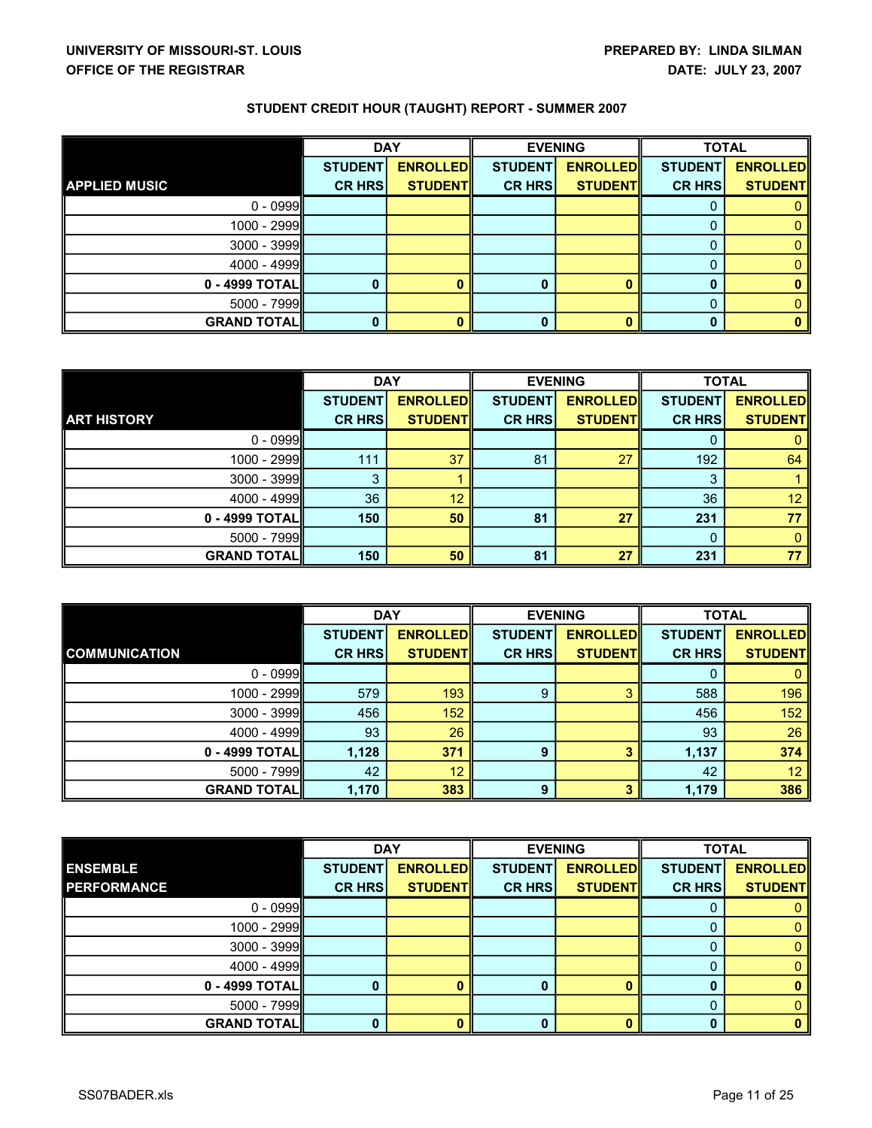|                      | <b>DAY</b>     |                 | <b>EVENING</b> |                 | <b>TOTAL</b>   |                 |
|----------------------|----------------|-----------------|----------------|-----------------|----------------|-----------------|
|                      | <b>STUDENT</b> | <b>ENROLLED</b> | <b>STUDENT</b> | <b>ENROLLED</b> | <b>STUDENT</b> | <b>ENROLLED</b> |
| <b>APPLIED MUSIC</b> | <b>CR HRS</b>  | <b>STUDENT</b>  | <b>CR HRS</b>  | <b>STUDENT</b>  | <b>CR HRS</b>  | <b>STUDENTI</b> |
| $0 - 0999$           |                |                 |                |                 |                |                 |
| 1000 - 2999          |                |                 |                |                 |                |                 |
| $3000 - 3999$        |                |                 |                |                 |                |                 |
| $4000 - 4999$        |                |                 |                |                 |                |                 |
| 0 - 4999 TOTAL       |                | 0               | 0              |                 |                | o               |
| $5000 - 7999$        |                |                 |                |                 |                |                 |
| <b>GRAND TOTALI</b>  |                | 0               | 0              |                 |                | 0               |

|                     | <b>DAY</b>     |                 | <b>EVENING</b> |                 | <b>TOTAL</b>   |                 |
|---------------------|----------------|-----------------|----------------|-----------------|----------------|-----------------|
|                     | <b>STUDENT</b> | <b>ENROLLED</b> | <b>STUDENT</b> | <b>ENROLLED</b> | <b>STUDENT</b> | <b>ENROLLED</b> |
| <b>ART HISTORY</b>  | <b>CR HRS</b>  | <b>STUDENT</b>  | <b>CR HRS</b>  | <b>STUDENT</b>  | <b>CR HRS</b>  | <b>STUDENTI</b> |
| $0 - 0999$          |                |                 |                |                 |                |                 |
| 1000 - 2999         | 111            | 37              | 81             | 27              | 192            | 64              |
| $3000 - 3999$       | 3              |                 |                |                 |                |                 |
| $4000 - 4999$       | 36             | 12              |                |                 | 36             | 12              |
| 0 - 4999 TOTALI     | 150            | 50              | 81             | 27              | 231            | 77              |
| $5000 - 7999$       |                |                 |                |                 |                | 0               |
| <b>GRAND TOTALI</b> | 150            | 50              | 81             | 27              | 231            | 77              |

|                      | <b>DAY</b>     |                 | <b>EVENING</b> |                 | <b>TOTAL</b>   |                 |
|----------------------|----------------|-----------------|----------------|-----------------|----------------|-----------------|
|                      | <b>STUDENT</b> | <b>ENROLLED</b> | <b>STUDENT</b> | <b>ENROLLED</b> | <b>STUDENT</b> | <b>ENROLLED</b> |
| <b>COMMUNICATION</b> | <b>CR HRS</b>  | <b>STUDENT</b>  | <b>CR HRS</b>  | <b>STUDENT</b>  | <b>CR HRS</b>  | <b>STUDENTI</b> |
| $0 - 0999$           |                |                 |                |                 |                |                 |
| 1000 - 2999          | 579            | 193             | 9              |                 | 588            | 196             |
| $3000 - 3999$        | 456            | 152             |                |                 | 456            | 152             |
| $4000 - 4999$        | 93             | 26              |                |                 | 93             | 26              |
| 0 - 4999 TOTALI      | 1,128          | 371             | 9              |                 | 1,137          | 374             |
| $5000 - 7999$        | 42             | 12              |                |                 | 42             | 12 <sup>2</sup> |
| <b>GRAND TOTAL</b>   | 1,170          | 383             | 9              |                 | 1,179          | 386             |

|                    | <b>DAY</b>     |                 | <b>EVENING</b> |                 | <b>TOTAL</b>   |                 |
|--------------------|----------------|-----------------|----------------|-----------------|----------------|-----------------|
| <b>ENSEMBLE</b>    | <b>STUDENT</b> | <b>ENROLLED</b> | <b>STUDENT</b> | <b>ENROLLED</b> | <b>STUDENT</b> | <b>ENROLLED</b> |
| <b>PERFORMANCE</b> | <b>CR HRS</b>  | <b>STUDENT</b>  | <b>CR HRS</b>  | <b>STUDENTI</b> | <b>CR HRS</b>  | <b>STUDENTI</b> |
| $0 - 0999$         |                |                 |                |                 |                |                 |
| 1000 - 2999        |                |                 |                |                 |                |                 |
| $3000 - 3999$      |                |                 |                |                 |                |                 |
| $4000 - 4999$      |                |                 |                |                 |                |                 |
| 0 - 4999 TOTAL     |                |                 |                |                 |                |                 |
| $5000 - 7999$      |                |                 |                |                 |                |                 |
| <b>GRAND TOTAL</b> |                |                 |                |                 |                |                 |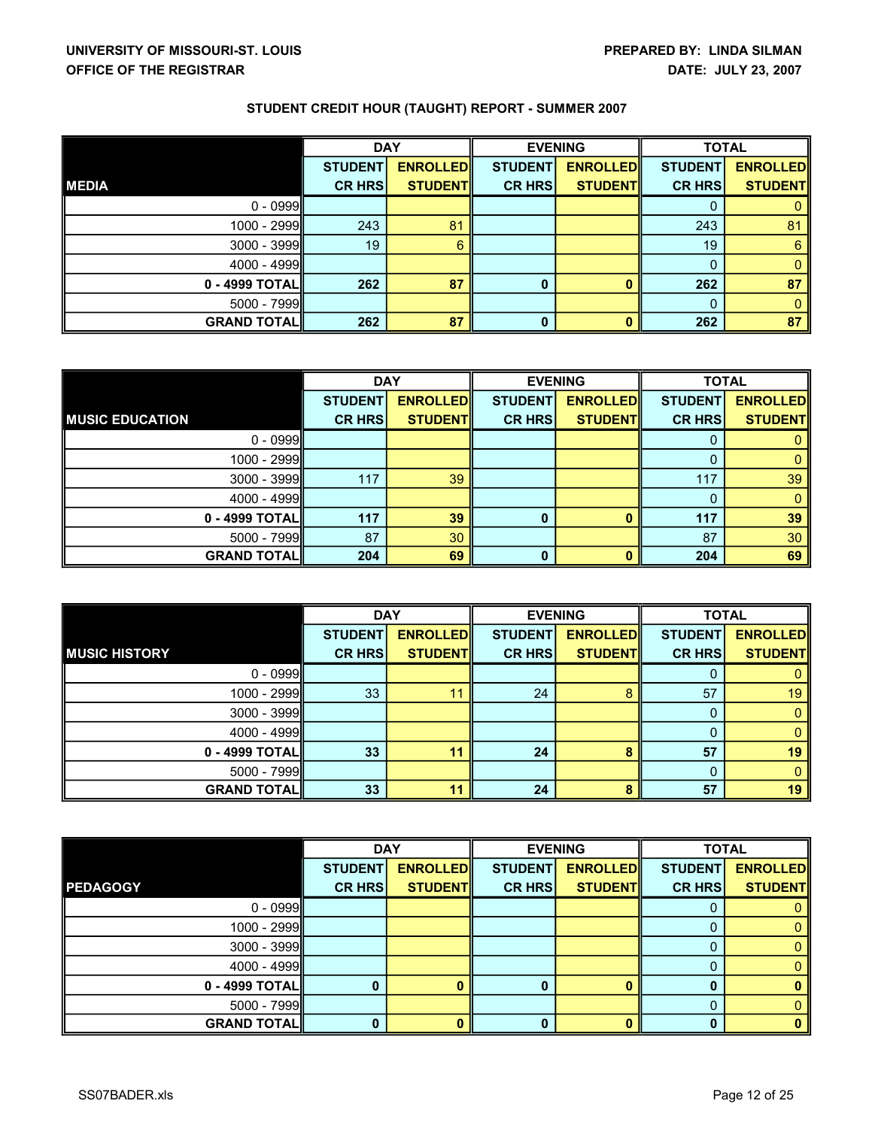|                    | <b>DAY</b>     |                 |                | <b>EVENING</b>  | <b>TOTAL</b>   |                 |
|--------------------|----------------|-----------------|----------------|-----------------|----------------|-----------------|
|                    | <b>STUDENT</b> | <b>ENROLLED</b> | <b>STUDENT</b> | <b>ENROLLED</b> | <b>STUDENT</b> | <b>ENROLLED</b> |
| <b>MEDIA</b>       | <b>CR HRS</b>  | <b>STUDENT</b>  | <b>CR HRS</b>  | <b>STUDENT</b>  | <b>CR HRS</b>  | <b>STUDENTI</b> |
| $0 - 0999$         |                |                 |                |                 |                |                 |
| $1000 - 2999$      | 243            | 81              |                |                 | 243            | 81              |
| $3000 - 3999$      | 19             | 6               |                |                 | 19             | 6               |
| $4000 - 4999$      |                |                 |                |                 |                | 0               |
| $0 - 4999$ TOTAL   | 262            | 87              |                |                 | 262            | 87              |
| $5000 - 7999$      |                |                 |                |                 |                | O               |
| <b>GRAND TOTAL</b> | 262            | 87              | 0              |                 | 262            | 87              |

|                        | <b>DAY</b>     |                 | <b>EVENING</b> |                 | <b>TOTAL</b>   |                 |
|------------------------|----------------|-----------------|----------------|-----------------|----------------|-----------------|
|                        | <b>STUDENT</b> | <b>ENROLLED</b> | <b>STUDENT</b> | <b>ENROLLED</b> | <b>STUDENT</b> | <b>ENROLLED</b> |
| <b>MUSIC EDUCATION</b> | <b>CR HRS</b>  | <b>STUDENT</b>  | <b>CR HRS</b>  | <b>STUDENT</b>  | <b>CR HRS</b>  | <b>STUDENT</b>  |
| $0 - 0999$             |                |                 |                |                 |                |                 |
| 1000 - 2999            |                |                 |                |                 |                |                 |
| $3000 - 3999$          | 117            | 39              |                |                 | 117            | 39              |
| $4000 - 4999$          |                |                 |                |                 |                |                 |
| $0 - 4999$ TOTAL       | 117            | 39              |                |                 | 117            | 39              |
| $5000 - 7999$          | 87             | 30              |                |                 | 87             | 30 <sup>°</sup> |
| <b>GRAND TOTAL</b>     | 204            | 69              | 0              |                 | 204            | 69              |

|                      | <b>DAY</b>     |                 | <b>EVENING</b> |                 | <b>TOTAL</b>   |                 |
|----------------------|----------------|-----------------|----------------|-----------------|----------------|-----------------|
|                      | <b>STUDENT</b> | <b>ENROLLED</b> | <b>STUDENT</b> | <b>ENROLLED</b> | <b>STUDENT</b> | <b>ENROLLED</b> |
| <b>MUSIC HISTORY</b> | <b>CR HRS</b>  | <b>STUDENT</b>  | <b>CR HRS</b>  | <b>STUDENT</b>  | <b>CR HRS</b>  | <b>STUDENTI</b> |
| $0 - 0999$           |                |                 |                |                 |                |                 |
| $1000 - 2999$        | 33             | 11              | 24             |                 | 57             | 19              |
| $3000 - 3999$        |                |                 |                |                 |                |                 |
| $4000 - 4999$        |                |                 |                |                 |                |                 |
| $0 - 4999$ TOTAL     | 33             | 11              | 24             |                 | 57             | 19              |
| $5000 - 7999$        |                |                 |                |                 |                |                 |
| <b>GRAND TOTAL</b>   | 33             | 11              | 24             |                 | 57             | 19              |

|                    | <b>DAY</b>     |                 | <b>EVENING</b> |                 | <b>TOTAL</b>   |                 |
|--------------------|----------------|-----------------|----------------|-----------------|----------------|-----------------|
|                    | <b>STUDENT</b> | <b>ENROLLED</b> | <b>STUDENT</b> | <b>ENROLLED</b> | <b>STUDENT</b> | <b>ENROLLED</b> |
| <b>PEDAGOGY</b>    | <b>CR HRS</b>  | <b>STUDENT</b>  | <b>CR HRS</b>  | <b>STUDENT</b>  | <b>CR HRS</b>  | <b>STUDENT</b>  |
| $0 - 0999$         |                |                 |                |                 |                |                 |
| 1000 - 2999        |                |                 |                |                 |                |                 |
| $3000 - 3999$      |                |                 |                |                 |                |                 |
| 4000 - 4999        |                |                 |                |                 |                |                 |
| 0 - 4999 TOTAL     | 0              |                 | 0              |                 |                |                 |
| 5000 - 7999        |                |                 |                |                 |                |                 |
| <b>GRAND TOTAL</b> | 0              |                 | 0              |                 |                |                 |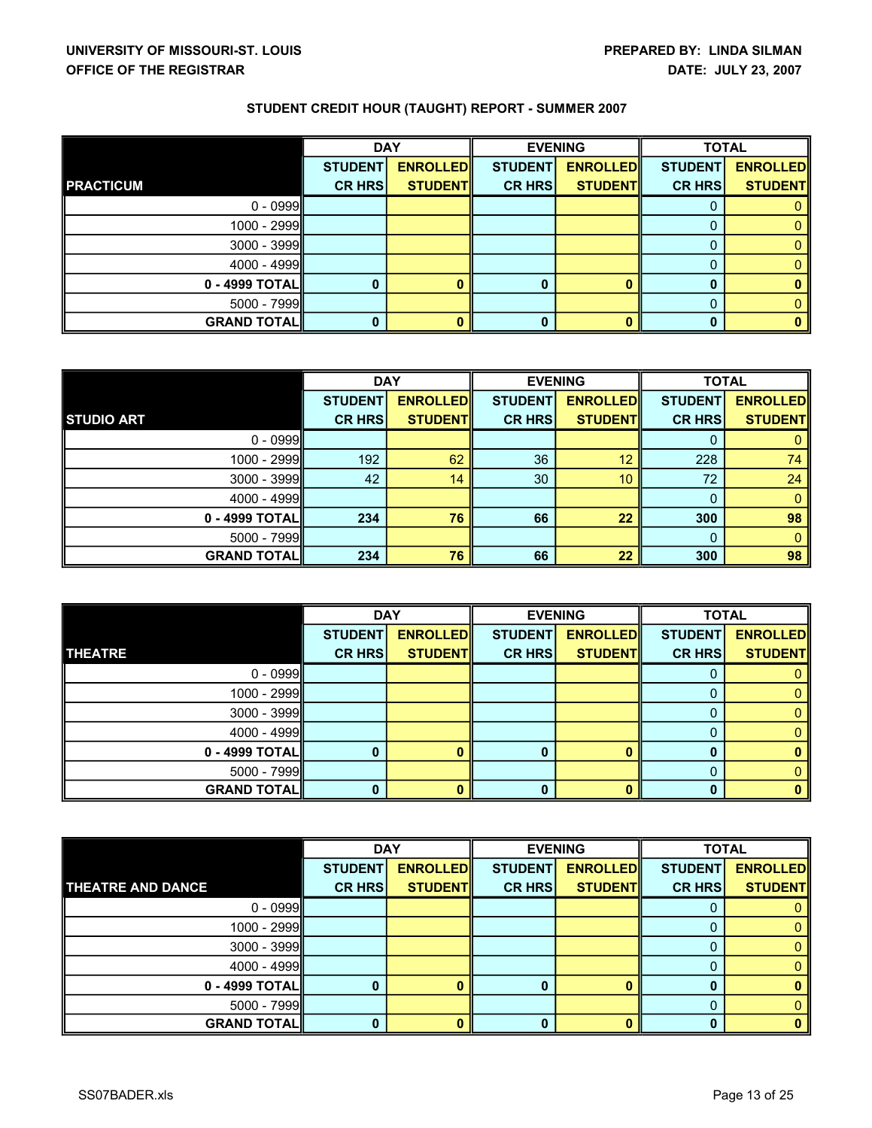|                    | <b>DAY</b>     |                 | <b>EVENING</b> |                 | <b>TOTAL</b>   |                 |
|--------------------|----------------|-----------------|----------------|-----------------|----------------|-----------------|
|                    | <b>STUDENT</b> | <b>ENROLLED</b> | <b>STUDENT</b> | <b>ENROLLED</b> | <b>STUDENT</b> | <b>ENROLLED</b> |
| <b>PRACTICUM</b>   | <b>CR HRS</b>  | <b>STUDENT</b>  | <b>CR HRS</b>  | <b>STUDENT</b>  | <b>CR HRS</b>  | <b>STUDENT</b>  |
| $0 - 0999$         |                |                 |                |                 |                |                 |
| $1000 - 2999$      |                |                 |                |                 |                |                 |
| $3000 - 3999$      |                |                 |                |                 |                |                 |
| $4000 - 4999$      |                |                 |                |                 |                |                 |
| $0 - 4999$ TOTAL   |                |                 |                |                 |                |                 |
| $5000 - 7999$      |                |                 |                |                 |                |                 |
| <b>GRAND TOTAL</b> |                | 0               |                |                 |                |                 |

|                    | <b>DAY</b>     |                 | <b>EVENING</b> |                 | <b>TOTAL</b>   |                 |
|--------------------|----------------|-----------------|----------------|-----------------|----------------|-----------------|
|                    | <b>STUDENT</b> | <b>ENROLLED</b> | <b>STUDENT</b> | <b>ENROLLED</b> | <b>STUDENT</b> | <b>ENROLLED</b> |
| <b>STUDIO ART</b>  | <b>CR HRS</b>  | <b>STUDENT</b>  | <b>CR HRS</b>  | <b>STUDENT</b>  | <b>CR HRS</b>  | <b>STUDENTI</b> |
| $0 - 0999$         |                |                 |                |                 |                |                 |
| 1000 - 2999        | 192            | 62              | 36             | 12              | 228            | 74              |
| $3000 - 3999$      | 42             | 14              | 30             | 10 <sup>1</sup> | 72             | 24              |
| $4000 - 4999$      |                |                 |                |                 |                |                 |
| 0 - 4999 TOTALI    | 234            | 76              | 66             | 22              | 300            | 98              |
| $5000 - 7999$      |                |                 |                |                 |                | 0               |
| <b>GRAND TOTAL</b> | 234            | 76              | 66             | 22              | 300            | 98              |

|                    | <b>DAY</b>     |                 | <b>EVENING</b> |                 | <b>TOTAL</b>   |                 |
|--------------------|----------------|-----------------|----------------|-----------------|----------------|-----------------|
|                    | <b>STUDENT</b> | <b>ENROLLED</b> | <b>STUDENT</b> | <b>ENROLLED</b> | <b>STUDENT</b> | <b>ENROLLED</b> |
| <b>THEATRE</b>     | <b>CR HRS</b>  | <b>STUDENT</b>  | <b>CR HRS</b>  | <b>STUDENT</b>  | <b>CR HRS</b>  | <b>STUDENT</b>  |
| $0 - 0999$         |                |                 |                |                 |                |                 |
| $1000 - 2999$      |                |                 |                |                 |                |                 |
| $3000 - 3999$      |                |                 |                |                 |                |                 |
| $4000 - 4999$      |                |                 |                |                 |                |                 |
| $0 - 4999$ TOTAL   |                |                 |                |                 |                |                 |
| $5000 - 7999$      |                |                 |                |                 |                |                 |
| <b>GRAND TOTAL</b> |                | o               |                |                 |                |                 |

|                          | <b>DAY</b>     |                 | <b>EVENING</b> |                 | <b>TOTAL</b>   |                 |
|--------------------------|----------------|-----------------|----------------|-----------------|----------------|-----------------|
|                          | <b>STUDENT</b> | <b>ENROLLED</b> | <b>STUDENT</b> | <b>ENROLLED</b> | <b>STUDENT</b> | <b>ENROLLED</b> |
| <b>THEATRE AND DANCE</b> | <b>CR HRS</b>  | <b>STUDENTI</b> | <b>CR HRS</b>  | <b>STUDENT</b>  | <b>CR HRS</b>  | <b>STUDENT</b>  |
| $0 - 0999$               |                |                 |                |                 |                |                 |
| 1000 - 2999              |                |                 |                |                 |                |                 |
| $3000 - 3999$            |                |                 |                |                 |                |                 |
| 4000 - 4999              |                |                 |                |                 |                |                 |
| 0 - 4999 TOTAL           | 0              |                 |                |                 |                |                 |
| 5000 - 7999              |                |                 |                |                 |                |                 |
| <b>GRAND TOTAL</b>       | 0              |                 | 0              |                 |                |                 |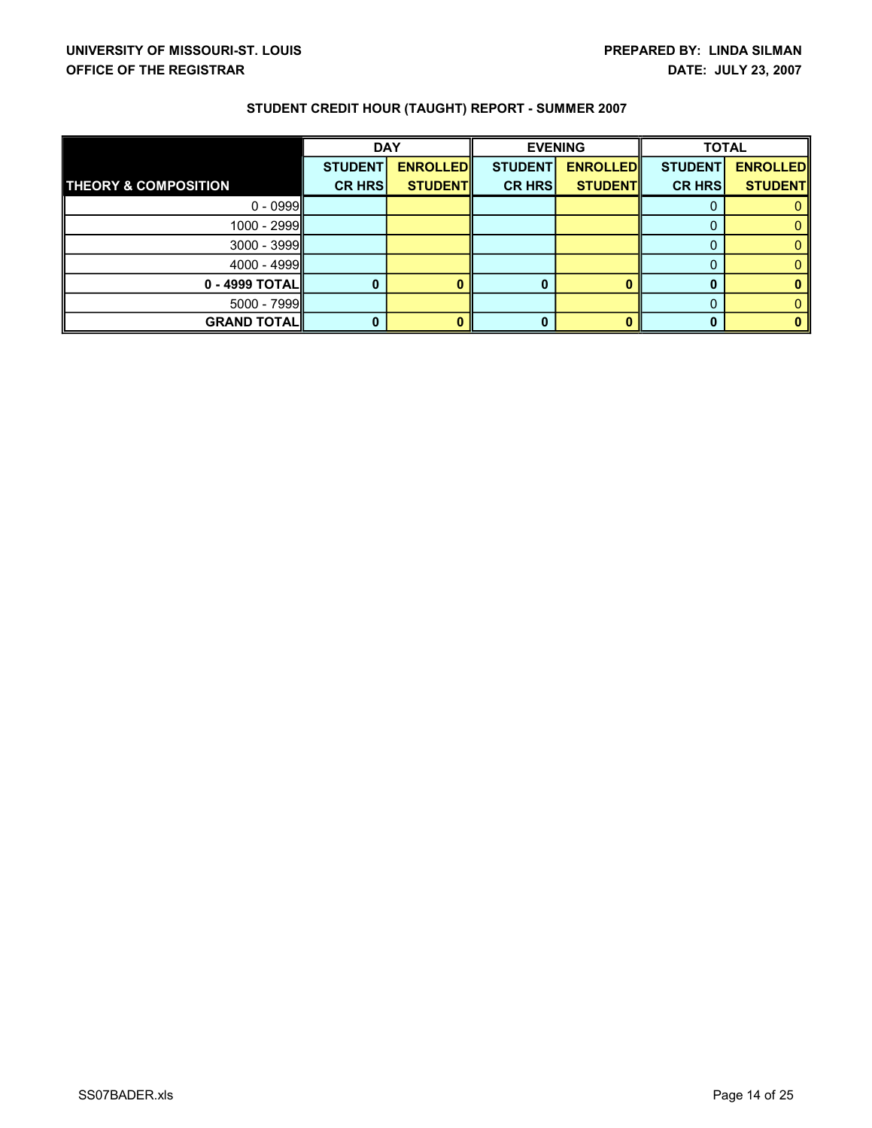|                                 | <b>DAY</b>     |                 | <b>EVENING</b> |                 | <b>TOTAL</b>   |                 |
|---------------------------------|----------------|-----------------|----------------|-----------------|----------------|-----------------|
|                                 | <b>STUDENT</b> | <b>ENROLLED</b> | <b>STUDENT</b> | <b>ENROLLED</b> | <b>STUDENT</b> | <b>ENROLLED</b> |
| <b>THEORY &amp; COMPOSITION</b> | <b>CR HRS</b>  | <b>STUDENT</b>  | <b>CR HRS</b>  | <b>STUDENT</b>  | <b>CR HRS</b>  | <b>STUDENT</b>  |
| $0 - 0999$                      |                |                 |                |                 |                |                 |
| 1000 - 2999                     |                |                 |                |                 |                |                 |
| $3000 - 3999$                   |                |                 |                |                 |                |                 |
| $4000 - 4999$                   |                |                 |                |                 |                |                 |
| $0 - 4999$ TOTAL                |                | o               |                |                 |                |                 |
| $5000 - 7999$                   |                |                 |                |                 |                |                 |
| <b>GRAND TOTAL</b>              |                | n               |                |                 |                |                 |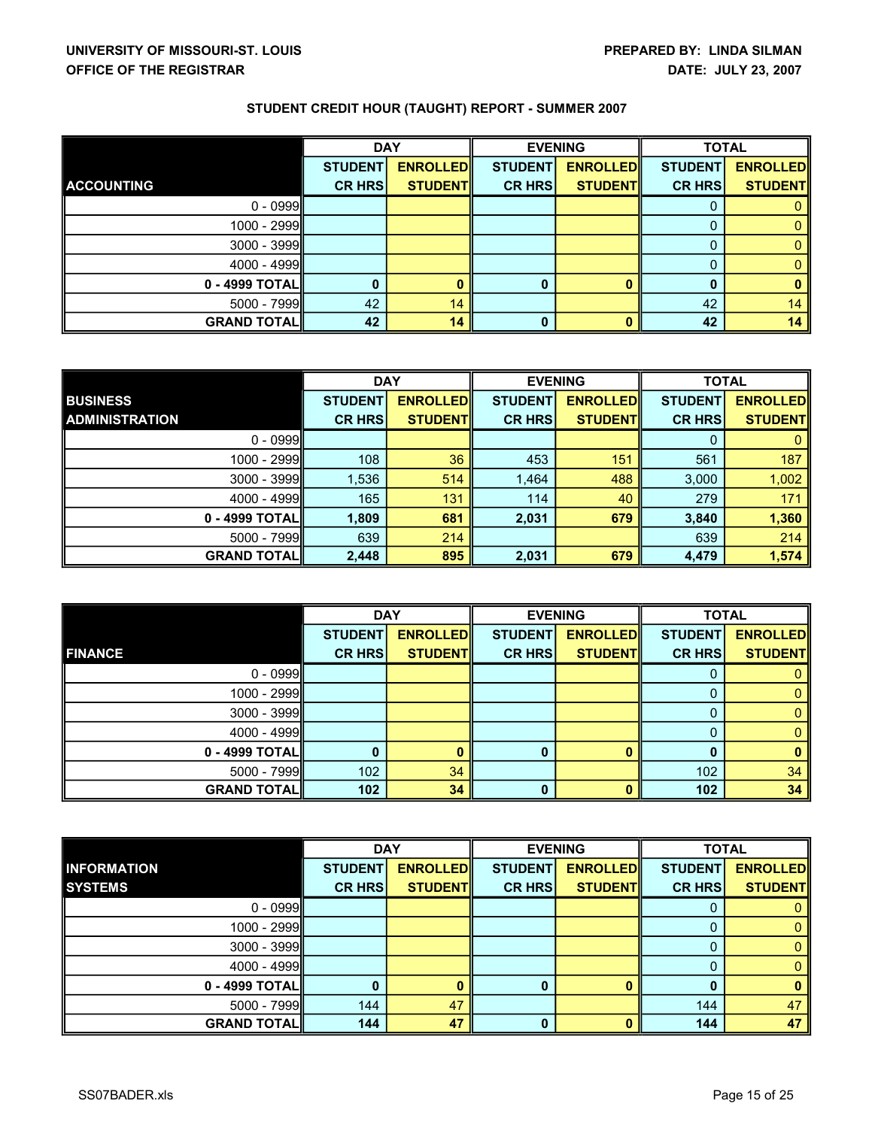|                     | <b>DAY</b>     |                 | <b>EVENING</b> |                 | <b>TOTAL</b>   |                 |
|---------------------|----------------|-----------------|----------------|-----------------|----------------|-----------------|
|                     | <b>STUDENT</b> | <b>ENROLLED</b> | <b>STUDENT</b> | <b>ENROLLED</b> | <b>STUDENT</b> | <b>ENROLLED</b> |
| <b>ACCOUNTING</b>   | <b>CR HRS</b>  | <b>STUDENT</b>  | <b>CR HRS</b>  | <b>STUDENT</b>  | <b>CR HRS</b>  | <b>STUDENT</b>  |
| $0 - 0999$          |                |                 |                |                 |                |                 |
| 1000 - 2999         |                |                 |                |                 |                |                 |
| $3000 - 3999$       |                |                 |                |                 |                |                 |
| $4000 - 4999$       |                |                 |                |                 | O              |                 |
| 0 - 4999 TOTAL      |                |                 | 0              |                 |                | n               |
| $5000 - 7999$       | 42             | 14              |                |                 | 42             | 14              |
| <b>GRAND TOTALI</b> | 42             | 14              | 0              |                 | 42             | 14              |

|                       | <b>DAY</b>     |                  | <b>EVENING</b> |                 | <b>TOTAL</b>   |                 |
|-----------------------|----------------|------------------|----------------|-----------------|----------------|-----------------|
| <b>BUSINESS</b>       | <b>STUDENT</b> | <b>ENROLLEDI</b> | <b>STUDENT</b> | <b>ENROLLED</b> | <b>STUDENT</b> | <b>ENROLLED</b> |
| <b>ADMINISTRATION</b> | <b>CR HRS</b>  | <b>STUDENTI</b>  | <b>CR HRS</b>  | <b>STUDENTI</b> | <b>CR HRS</b>  | <b>STUDENTI</b> |
| $0 - 0999$            |                |                  |                |                 |                |                 |
| 1000 - 2999           | 108            | 36               | 453            | 151             | 561            | 187             |
| $3000 - 3999$         | 1,536          | 514              | 1,464          | 488             | 3,000          | 1,002           |
| $4000 - 4999$         | 165            | 131              | 114            | 40              | 279            | 171             |
| 0 - 4999 TOTALI       | 1,809          | 681              | 2,031          | 679             | 3,840          | 1,360           |
| 5000 - 7999           | 639            | 214              |                |                 | 639            | 214             |
| <b>GRAND TOTAL</b>    | 2,448          | 895              | 2,031          | 679             | 4,479          | 1,574           |

|                    | <b>DAY</b>     |                 | <b>EVENING</b> |                 | <b>TOTAL</b>   |                 |
|--------------------|----------------|-----------------|----------------|-----------------|----------------|-----------------|
|                    | <b>STUDENT</b> | <b>ENROLLED</b> | <b>STUDENT</b> | <b>ENROLLED</b> | <b>STUDENT</b> | <b>ENROLLED</b> |
| <b>FINANCE</b>     | <b>CR HRS</b>  | <b>STUDENT</b>  | <b>CR HRS</b>  | <b>STUDENT</b>  | <b>CR HRS</b>  | <b>STUDENT</b>  |
| $0 - 0999$         |                |                 |                |                 |                |                 |
| $1000 - 2999$      |                |                 |                |                 |                |                 |
| $3000 - 3999$      |                |                 |                |                 |                |                 |
| $4000 - 4999$      |                |                 |                |                 |                |                 |
| $0 - 4999$ TOTAL   |                | Ω               |                |                 |                | n               |
| $5000 - 7999$      | 102            | 34              |                |                 | 102            | 34              |
| <b>GRAND TOTAL</b> | 102            | 34              | n              |                 | 102            | 34              |

|                     | <b>DAY</b><br><b>EVENING</b> |                 |                |                 | <b>TOTAL</b>   |                 |
|---------------------|------------------------------|-----------------|----------------|-----------------|----------------|-----------------|
| <b>INFORMATION</b>  | <b>STUDENT</b>               | <b>ENROLLED</b> | <b>STUDENT</b> | <b>ENROLLED</b> | <b>STUDENT</b> | <b>ENROLLED</b> |
| <b>SYSTEMS</b>      | <b>CR HRS</b>                | <b>STUDENTI</b> | <b>CR HRS</b>  | <b>STUDENTI</b> | <b>CR HRS</b>  | <b>STUDENTI</b> |
| $0 - 0999$          |                              |                 |                |                 |                |                 |
| 1000 - 2999         |                              |                 |                |                 |                |                 |
| $3000 - 3999$       |                              |                 |                |                 |                |                 |
| $4000 - 4999$       |                              |                 |                |                 |                |                 |
| 0 - 4999 TOTALI     |                              | n               | O              |                 |                | n               |
| $5000 - 7999$       | 144                          | 47              |                |                 | 144            | 47              |
| <b>GRAND TOTALI</b> | 144                          | 47              | 0              |                 | 144            | 47              |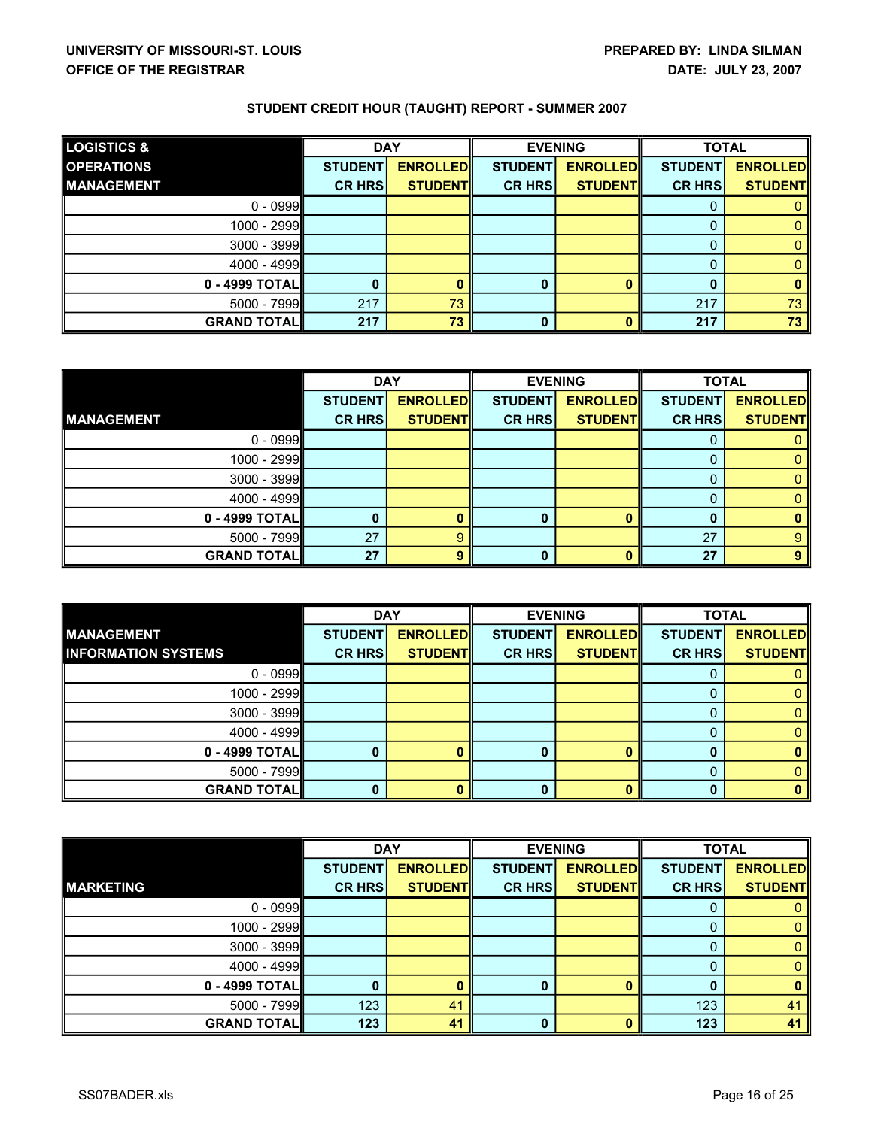| <b>LOGISTICS &amp;</b> | <b>DAY</b>     |                 | <b>EVENING</b> |                 | <b>TOTAL</b>   |                 |
|------------------------|----------------|-----------------|----------------|-----------------|----------------|-----------------|
| <b>OPERATIONS</b>      | <b>STUDENT</b> | <b>ENROLLED</b> | <b>STUDENT</b> | <b>ENROLLED</b> | <b>STUDENT</b> | <b>ENROLLED</b> |
| <b>MANAGEMENT</b>      | <b>CR HRS</b>  | <b>STUDENTI</b> | <b>CR HRS</b>  | <b>STUDENTI</b> | <b>CR HRS</b>  | <b>STUDENTI</b> |
| $0 - 0999$             |                |                 |                |                 |                |                 |
| 1000 - 2999            |                |                 |                |                 |                |                 |
| 3000 - 3999            |                |                 |                |                 |                |                 |
| 4000 - 4999            |                |                 |                |                 |                |                 |
| 0 - 4999 TOTAL         | 0              |                 |                |                 |                |                 |
| $5000 - 7999$          | 217            | 73              |                |                 | 217            | 73              |
| <b>GRAND TOTALI</b>    | 217            | 73              | 0              |                 | 217            | 73              |

|                    | <b>DAY</b>     |                 | <b>EVENING</b> |                 | <b>TOTAL</b>   |                 |
|--------------------|----------------|-----------------|----------------|-----------------|----------------|-----------------|
|                    | <b>STUDENT</b> | <b>ENROLLED</b> | <b>STUDENT</b> | <b>ENROLLED</b> | <b>STUDENT</b> | <b>ENROLLED</b> |
| <b>MANAGEMENT</b>  | <b>CR HRS</b>  | <b>STUDENT</b>  | <b>CR HRS</b>  | <b>STUDENT</b>  | <b>CR HRS</b>  | <b>STUDENT</b>  |
| $0 - 0999$         |                |                 |                |                 |                |                 |
| 1000 - 2999        |                |                 |                |                 |                |                 |
| $3000 - 3999$      |                |                 |                |                 |                |                 |
| $4000 - 4999$      |                |                 |                |                 |                |                 |
| 0 - 4999 TOTALI    |                | n               | ŋ              |                 |                | n               |
| $5000 - 7999$      | 27             | 9               |                |                 | 27             | 9               |
| <b>GRAND TOTAL</b> | 27             | 9               | 0              |                 | 27             | 9               |

|                            | <b>DAY</b>     |                 | <b>EVENING</b> |                 | <b>TOTAL</b>   |                 |
|----------------------------|----------------|-----------------|----------------|-----------------|----------------|-----------------|
| <b>MANAGEMENT</b>          | <b>STUDENT</b> | <b>ENROLLED</b> | <b>STUDENT</b> | <b>ENROLLED</b> | <b>STUDENT</b> | <b>ENROLLED</b> |
| <b>INFORMATION SYSTEMS</b> | <b>CR HRS</b>  | <b>STUDENTI</b> | <b>CR HRSI</b> | <b>STUDENTI</b> | <b>CR HRS</b>  | <b>STUDENTI</b> |
| $0 - 0999$                 |                |                 |                |                 |                |                 |
| 1000 - 2999                |                |                 |                |                 |                |                 |
| $3000 - 3999$              |                |                 |                |                 |                |                 |
| $4000 - 4999$              |                |                 |                |                 |                |                 |
| $0 - 4999$ TOTAL           |                |                 | O              |                 |                |                 |
| $5000 - 7999$              |                |                 |                |                 |                |                 |
| <b>GRAND TOTAL</b>         |                |                 |                |                 |                |                 |

|                     | <b>DAY</b>     |                 | <b>EVENING</b> |                 | <b>TOTAL</b>   |                 |
|---------------------|----------------|-----------------|----------------|-----------------|----------------|-----------------|
|                     | <b>STUDENT</b> | <b>ENROLLED</b> | <b>STUDENT</b> | <b>ENROLLED</b> | <b>STUDENT</b> | <b>ENROLLED</b> |
| <b>MARKETING</b>    | <b>CR HRS</b>  | <b>STUDENTI</b> | <b>CR HRS</b>  | <b>STUDENT</b>  | <b>CR HRS</b>  | <b>STUDENT</b>  |
| $0 - 0999$          |                |                 |                |                 |                |                 |
| 1000 - 2999         |                |                 |                |                 |                |                 |
| $3000 - 3999$       |                |                 |                |                 |                |                 |
| $4000 - 4999$       |                |                 |                |                 |                |                 |
| 0 - 4999 TOTALI     |                | n               | O              |                 |                | n               |
| $5000 - 7999$       | 123            | 41              |                |                 | 123            | 41              |
| <b>GRAND TOTALI</b> | 123            | 41              | 0              |                 | 123            | 41              |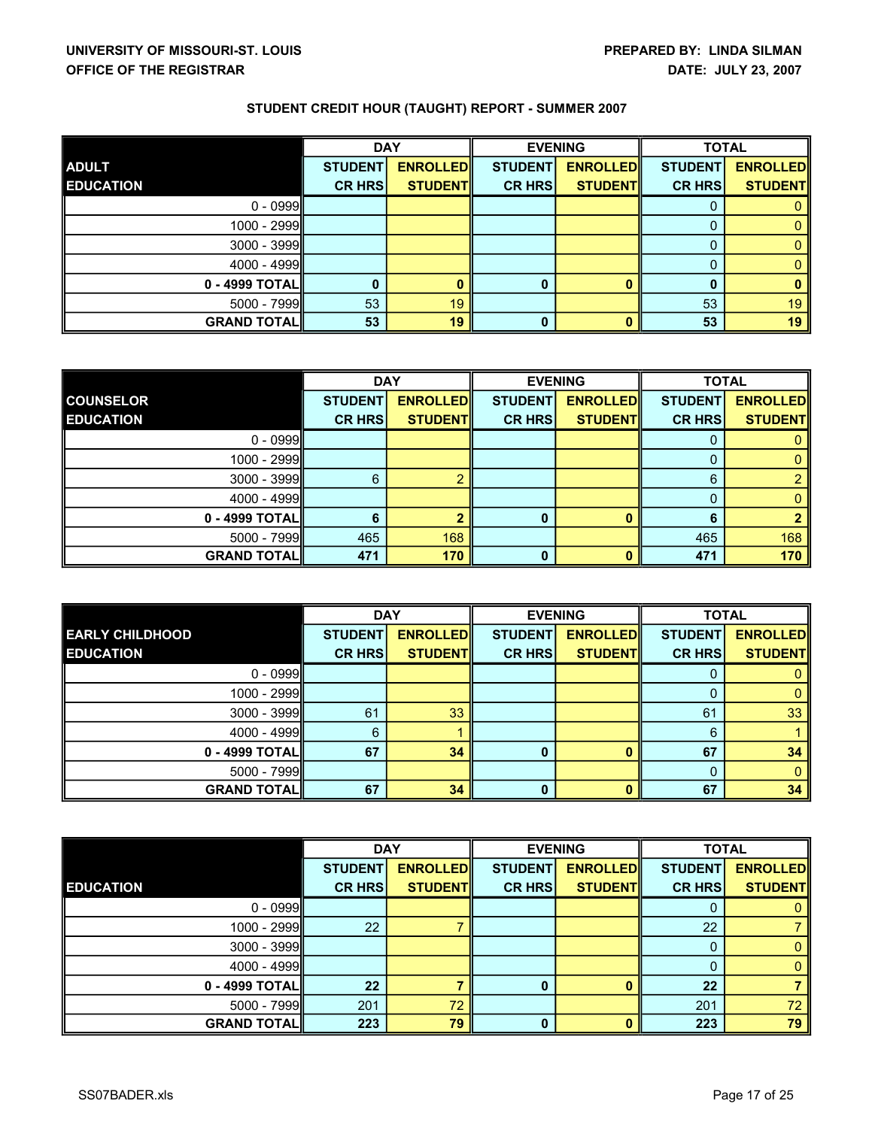|                     | <b>DAY</b>     |                 | <b>EVENING</b> |                 | <b>TOTAL</b>   |                 |
|---------------------|----------------|-----------------|----------------|-----------------|----------------|-----------------|
| <b>ADULT</b>        | <b>STUDENT</b> | <b>ENROLLED</b> | <b>STUDENT</b> | <b>ENROLLED</b> | <b>STUDENT</b> | <b>ENROLLED</b> |
| <b>EDUCATION</b>    | <b>CR HRS</b>  | <b>STUDENTI</b> | <b>CR HRS</b>  | <b>STUDENT</b>  | <b>CR HRS</b>  | <b>STUDENT</b>  |
| $0 - 0999$          |                |                 |                |                 |                |                 |
| $1000 - 2999$       |                |                 |                |                 |                |                 |
| $3000 - 3999$       |                |                 |                |                 |                |                 |
| $4000 - 4999$       |                |                 |                |                 |                |                 |
| 0 - 4999 TOTALI     |                | 0               |                |                 |                | 0               |
| $5000 - 7999$       | 53             | 19              |                |                 | 53             | 19              |
| <b>GRAND TOTALI</b> | 53             | 19              | 0              |                 | 53             | 19              |

|                    | <b>DAY</b>     |                 | <b>EVENING</b> |                 | <b>TOTAL</b>   |                 |
|--------------------|----------------|-----------------|----------------|-----------------|----------------|-----------------|
| <b>COUNSELOR</b>   | <b>STUDENT</b> | <b>ENROLLED</b> | <b>STUDENT</b> | <b>ENROLLED</b> | <b>STUDENT</b> | <b>ENROLLED</b> |
| <b>EDUCATION</b>   | <b>CR HRS</b>  | <b>STUDENTI</b> | <b>CR HRS</b>  | <b>STUDENT</b>  | <b>CR HRS</b>  | <b>STUDENTI</b> |
| $0 - 0999$         |                |                 |                |                 |                |                 |
| 1000 - 2999        |                |                 |                |                 |                |                 |
| $3000 - 3999$      | 6              |                 |                |                 | 6              |                 |
| $4000 - 4999$      |                |                 |                |                 |                |                 |
| 0 - 4999 TOTALI    | 6              | ≏               | 0              |                 |                |                 |
| $5000 - 7999$      | 465            | 168             |                |                 | 465            | 168             |
| <b>GRAND TOTAL</b> | 471            | 170             | 0              |                 | 471            | 170             |

|                        |                | <b>DAY</b>      |                | <b>EVENING</b>  |                | <b>TOTAL</b>    |
|------------------------|----------------|-----------------|----------------|-----------------|----------------|-----------------|
| <b>EARLY CHILDHOOD</b> | <b>STUDENT</b> | <b>ENROLLED</b> | <b>STUDENT</b> | <b>ENROLLED</b> | <b>STUDENT</b> | <b>ENROLLED</b> |
| <b>EDUCATION</b>       | <b>CR HRS</b>  | <b>STUDENT</b>  | <b>CR HRS</b>  | <b>STUDENTI</b> | <b>CR HRS</b>  | <b>STUDENTI</b> |
| $0 - 0999$             |                |                 |                |                 |                |                 |
| $1000 - 2999$          |                |                 |                |                 |                |                 |
| $3000 - 3999$          | 61             | 33              |                |                 | 61             | 33              |
| $4000 - 4999$          | 6              |                 |                |                 | 6              |                 |
| $0 - 4999$ TOTAL       | 67             | 34              |                |                 | 67             | 34              |
| $5000 - 7999$          |                |                 |                |                 |                |                 |
| <b>GRAND TOTAL</b>     | 67             | 34              |                |                 | 67             | 34              |

|                    | <b>DAY</b>     |                 | <b>EVENING</b> |                 | <b>TOTAL</b>   |                 |
|--------------------|----------------|-----------------|----------------|-----------------|----------------|-----------------|
|                    | <b>STUDENT</b> | <b>ENROLLED</b> | <b>STUDENT</b> | <b>ENROLLED</b> | <b>STUDENT</b> | <b>ENROLLED</b> |
| <b>EDUCATION</b>   | <b>CR HRS</b>  | <b>STUDENT</b>  | <b>CR HRS</b>  | <b>STUDENT</b>  | <b>CR HRS</b>  | <b>STUDENTI</b> |
| $0 - 0999$         |                |                 |                |                 | Ü              |                 |
| 1000 - 2999        | 22             |                 |                |                 | 22             |                 |
| $3000 - 3999$      |                |                 |                |                 |                |                 |
| 4000 - 4999        |                |                 |                |                 |                |                 |
| 0 - 4999 TOTALI    | 22             |                 | 0              |                 | 22             |                 |
| 5000 - 7999        | 201            | 72              |                |                 | 201            | 72              |
| <b>GRAND TOTAL</b> | 223            | 79              | 0              |                 | 223            | 79              |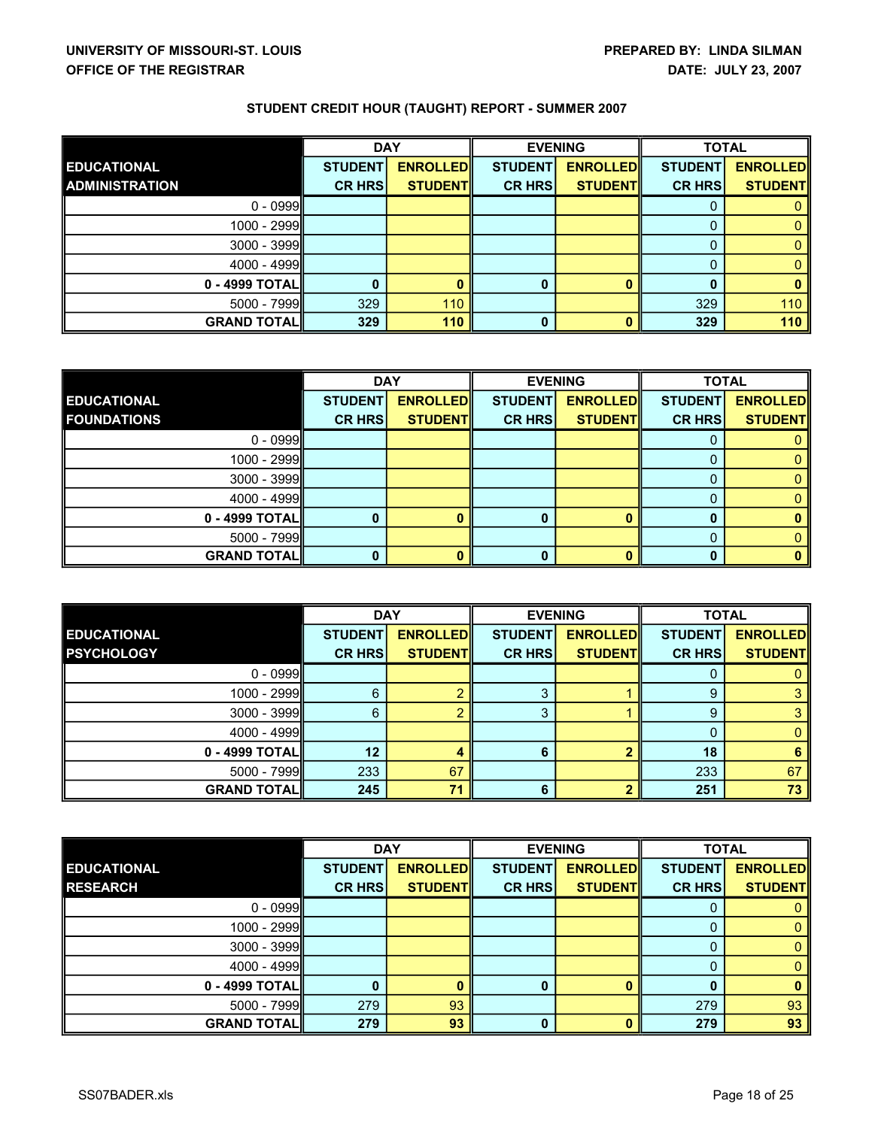|                       | <b>DAY</b>     |                 | <b>EVENING</b> |                 | <b>TOTAL</b>   |                 |
|-----------------------|----------------|-----------------|----------------|-----------------|----------------|-----------------|
| <b>EDUCATIONAL</b>    | <b>STUDENT</b> | <b>ENROLLED</b> | <b>STUDENT</b> | <b>ENROLLED</b> | <b>STUDENT</b> | <b>ENROLLED</b> |
| <b>ADMINISTRATION</b> | <b>CR HRS</b>  | <b>STUDENTI</b> | <b>CR HRS</b>  | <b>STUDENTI</b> | <b>CR HRS</b>  | <b>STUDENTI</b> |
| $0 - 0999$            |                |                 |                |                 |                |                 |
| 1000 - 2999           |                |                 |                |                 |                |                 |
| $3000 - 3999$         |                |                 |                |                 |                |                 |
| 4000 - 4999           |                |                 |                |                 |                |                 |
| 0 - 4999 TOTALI       | $\bf{0}$       |                 |                |                 |                |                 |
| $5000 - 7999$         | 329            | 110             |                |                 | 329            | 110             |
| <b>GRAND TOTALI</b>   | 329            | 110             | 0              |                 | 329            | 110             |

|                    | <b>DAY</b>     |                 | <b>EVENING</b> |                 | <b>TOTAL</b>   |                 |
|--------------------|----------------|-----------------|----------------|-----------------|----------------|-----------------|
| <b>EDUCATIONAL</b> | <b>STUDENT</b> | <b>ENROLLED</b> | <b>STUDENT</b> | <b>ENROLLED</b> | <b>STUDENT</b> | <b>ENROLLED</b> |
| <b>FOUNDATIONS</b> | <b>CR HRSI</b> | <b>STUDENTI</b> | <b>CR HRS</b>  | <b>STUDENT</b>  | <b>CR HRS</b>  | <b>STUDENTI</b> |
| $0 - 0999$         |                |                 |                |                 |                |                 |
| 1000 - 2999        |                |                 |                |                 |                |                 |
| $3000 - 3999$      |                |                 |                |                 |                |                 |
| $4000 - 4999$      |                |                 |                |                 |                |                 |
| $0 - 4999$ TOTAL   |                |                 |                |                 |                |                 |
| $5000 - 7999$      |                |                 |                |                 |                |                 |
| <b>GRAND TOTAL</b> |                | n               |                |                 |                |                 |

|                     | <b>DAY</b>     |                 |                | <b>EVENING</b>  |                | <b>TOTAL</b>    |
|---------------------|----------------|-----------------|----------------|-----------------|----------------|-----------------|
| <b>EDUCATIONAL</b>  | <b>STUDENT</b> | <b>ENROLLED</b> | <b>STUDENT</b> | <b>ENROLLED</b> | <b>STUDENT</b> | <b>ENROLLED</b> |
| <b>PSYCHOLOGY</b>   | <b>CR HRS</b>  | <b>STUDENTI</b> | <b>CR HRS</b>  | <b>STUDENTI</b> | <b>CR HRS</b>  | <b>STUDENTI</b> |
| $0 - 0999$          |                |                 |                |                 |                |                 |
| 1000 - 2999         | 6              |                 | ິ              |                 | 9              | ິ               |
| $3000 - 3999$       | 6              |                 |                |                 |                |                 |
| $4000 - 4999$       |                |                 |                |                 |                |                 |
| 0 - 4999 TOTAL      | 12             |                 |                |                 | 18             | 6               |
| $5000 - 7999$       | 233            | 67              |                |                 | 233            | 67              |
| <b>GRAND TOTALI</b> | 245            | 71              | 6              |                 | 251            | 73              |

|                    | <b>DAY</b>     |                 | <b>EVENING</b> |                 | <b>TOTAL</b>   |                 |
|--------------------|----------------|-----------------|----------------|-----------------|----------------|-----------------|
| <b>EDUCATIONAL</b> | <b>STUDENT</b> | <b>ENROLLED</b> | <b>STUDENT</b> | <b>ENROLLED</b> | <b>STUDENT</b> | <b>ENROLLED</b> |
| <b>RESEARCH</b>    | <b>CR HRS</b>  | <b>STUDENT</b>  | <b>CR HRS</b>  | <b>STUDENTI</b> | <b>CR HRS</b>  | <b>STUDENTI</b> |
| $0 - 0999$         |                |                 |                |                 | U              |                 |
| 1000 - 2999        |                |                 |                |                 |                |                 |
| $3000 - 3999$      |                |                 |                |                 |                |                 |
| 4000 - 4999        |                |                 |                |                 |                |                 |
| 0 - 4999 TOTALI    | $\mathbf{0}$   |                 | 0              |                 |                | n               |
| 5000 - 7999        | 279            | 93              |                |                 | 279            | 93              |
| <b>GRAND TOTAL</b> | 279            | 93              | 0              |                 | 279            | 93              |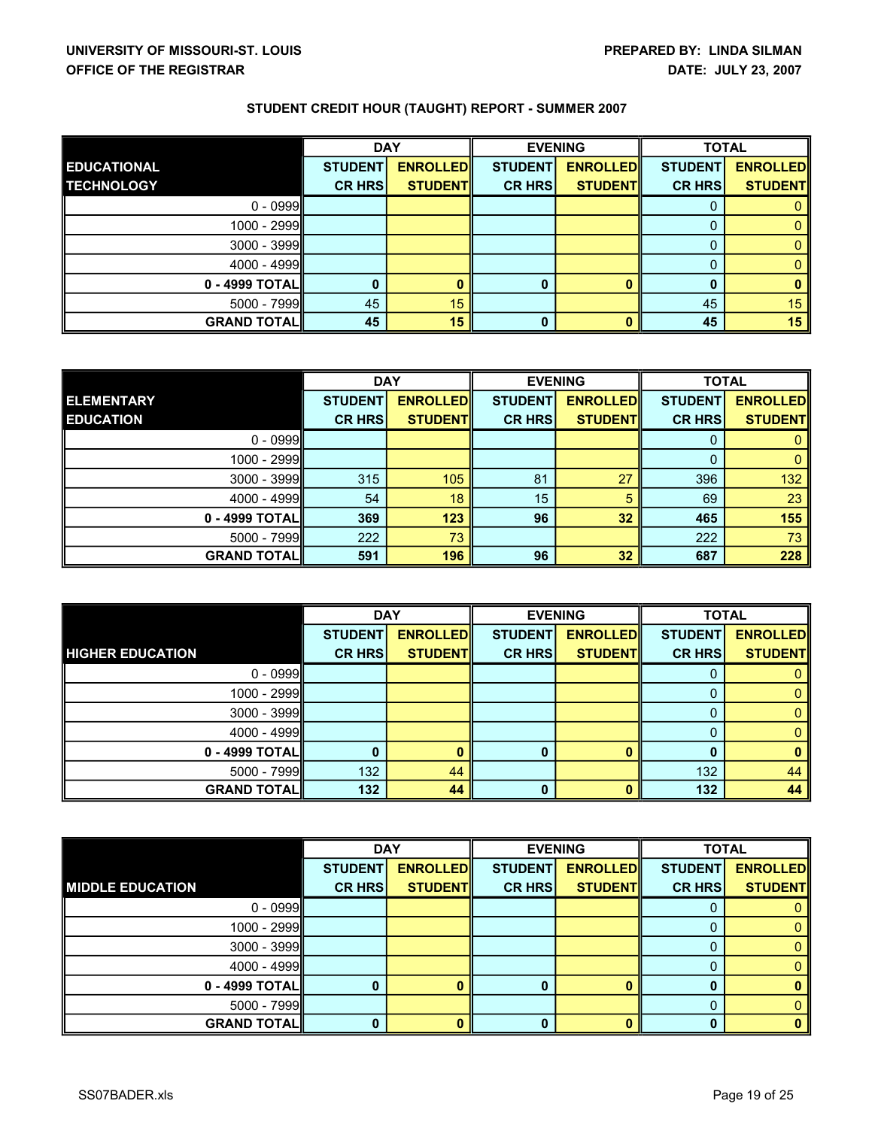|                     | <b>DAY</b>     |                 | <b>EVENING</b> |                 | <b>TOTAL</b>   |                 |
|---------------------|----------------|-----------------|----------------|-----------------|----------------|-----------------|
| <b>EDUCATIONAL</b>  | <b>STUDENT</b> | <b>ENROLLED</b> | <b>STUDENT</b> | <b>ENROLLED</b> | <b>STUDENT</b> | <b>ENROLLED</b> |
| <b>TECHNOLOGY</b>   | <b>CR HRS</b>  | <b>STUDENTI</b> | <b>CR HRS</b>  | <b>STUDENTI</b> | <b>CR HRS</b>  | <b>STUDENTI</b> |
| $0 - 0999$          |                |                 |                |                 |                |                 |
| $1000 - 2999$       |                |                 |                |                 |                |                 |
| $3000 - 3999$       |                |                 |                |                 |                |                 |
| $4000 - 4999$       |                |                 |                |                 |                |                 |
| 0 - 4999 TOTALI     |                | 0               |                |                 |                | 0               |
| $5000 - 7999$       | 45             | 15 <sub>1</sub> |                |                 | 45             | 15              |
| <b>GRAND TOTALI</b> | 45             | 15              | 0              |                 | 45             | 15              |

|                    | <b>DAY</b>     |                 | <b>EVENING</b> |                 | <b>TOTAL</b>   |                 |
|--------------------|----------------|-----------------|----------------|-----------------|----------------|-----------------|
| <b>ELEMENTARY</b>  | <b>STUDENT</b> | <b>ENROLLED</b> | <b>STUDENT</b> | <b>ENROLLED</b> | <b>STUDENT</b> | <b>ENROLLED</b> |
| <b>EDUCATION</b>   | <b>CR HRS</b>  | <b>STUDENT</b>  | <b>CR HRS</b>  | <b>STUDENT</b>  | <b>CR HRS</b>  | <b>STUDENTI</b> |
| $0 - 0999$         |                |                 |                |                 |                |                 |
| 1000 - 2999        |                |                 |                |                 |                |                 |
| $3000 - 3999$      | 315            | 105             | 81             | 27              | 396            | 132             |
| $4000 - 4999$      | 54             | 18              | 15             |                 | 69             | 23              |
| 0 - 4999 TOTALI    | 369            | 123             | 96             | 32              | 465            | 155             |
| $5000 - 7999$      | 222            | 73              |                |                 | 222            | 73              |
| <b>GRAND TOTAL</b> | 591            | 196             | 96             | 32              | 687            | 228             |

|                         | <b>DAY</b>     |                 | <b>EVENING</b> |                 | <b>TOTAL</b>   |                 |
|-------------------------|----------------|-----------------|----------------|-----------------|----------------|-----------------|
|                         | <b>STUDENT</b> | <b>ENROLLED</b> | <b>STUDENT</b> | <b>ENROLLED</b> | <b>STUDENT</b> | <b>ENROLLED</b> |
| <b>HIGHER EDUCATION</b> | <b>CR HRS</b>  | <b>STUDENT</b>  | <b>CR HRS</b>  | <b>STUDENT</b>  | <b>CR HRS</b>  | <b>STUDENT</b>  |
| $0 - 0999$              |                |                 |                |                 |                |                 |
| 1000 - 2999             |                |                 |                |                 |                |                 |
| $3000 - 3999$           |                |                 |                |                 |                |                 |
| $4000 - 4999$           |                |                 |                |                 |                |                 |
| 0 - 4999 TOTAL          |                | n               | O              |                 |                | n               |
| $5000 - 7999$           | 132            | 44              |                |                 | 132            | 44              |
| <b>GRAND TOTALI</b>     | 132            | 44              | 0              |                 | 132            | 44              |

|                         | <b>DAY</b>     |                 | <b>EVENING</b> |                 | <b>TOTAL</b>   |                 |
|-------------------------|----------------|-----------------|----------------|-----------------|----------------|-----------------|
|                         | <b>STUDENT</b> | <b>ENROLLED</b> | <b>STUDENT</b> | <b>ENROLLED</b> | <b>STUDENT</b> | <b>ENROLLED</b> |
| <b>MIDDLE EDUCATION</b> | <b>CR HRS</b>  | <b>STUDENTI</b> | <b>CR HRS</b>  | <b>STUDENT</b>  | <b>CR HRS</b>  | <b>STUDENT</b>  |
| $0 - 0999$              |                |                 |                |                 |                |                 |
| 1000 - 2999             |                |                 |                |                 |                |                 |
| $3000 - 3999$           |                |                 |                |                 |                |                 |
| 4000 - 4999             |                |                 |                |                 |                |                 |
| 0 - 4999 TOTAL          | 0              |                 |                |                 |                |                 |
| 5000 - 7999             |                |                 |                |                 |                |                 |
| <b>GRAND TOTAL</b>      | 0              |                 | 0              |                 |                |                 |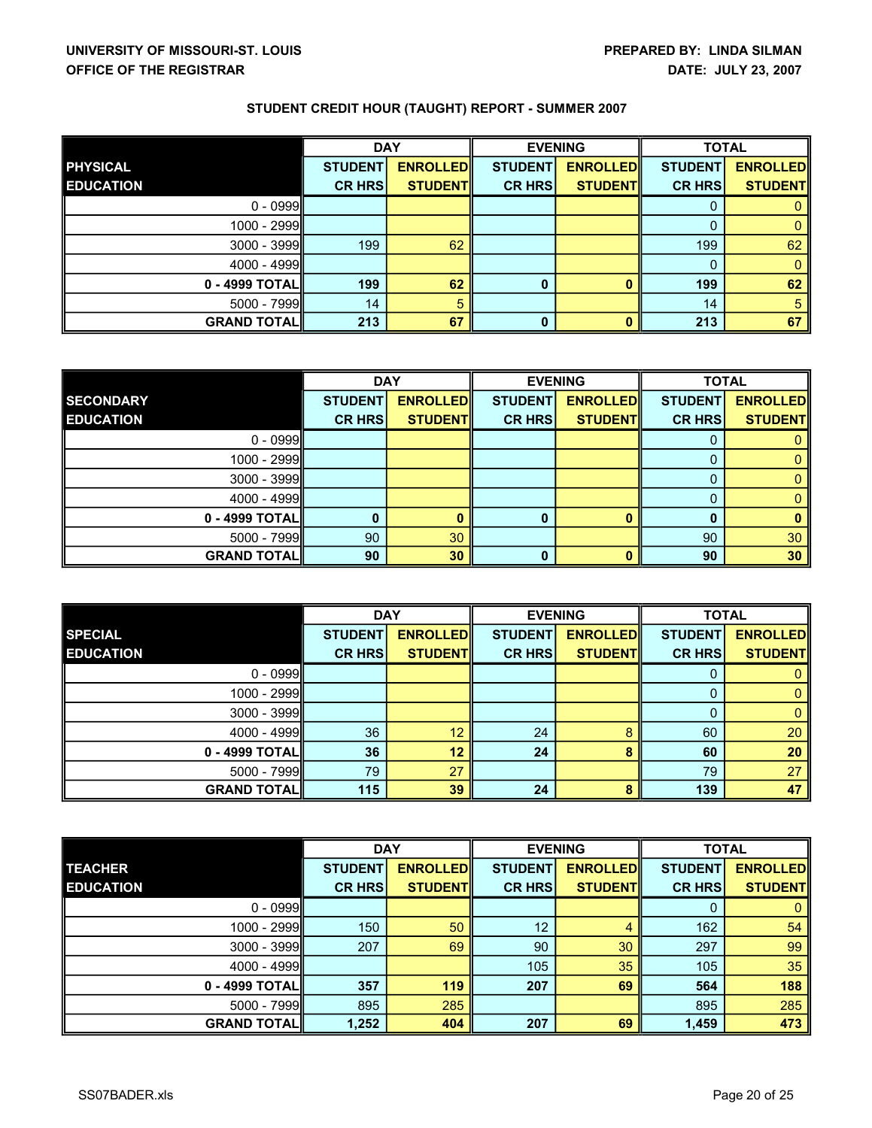|                     | <b>DAY</b>     |                 | <b>EVENING</b> |                 | <b>TOTAL</b>   |                 |
|---------------------|----------------|-----------------|----------------|-----------------|----------------|-----------------|
| <b>PHYSICAL</b>     | <b>STUDENT</b> | <b>ENROLLED</b> | <b>STUDENT</b> | <b>ENROLLED</b> | <b>STUDENT</b> | <b>ENROLLED</b> |
| <b>EDUCATION</b>    | <b>CR HRS</b>  | <b>STUDENTI</b> | <b>CR HRS</b>  | <b>STUDENT</b>  | <b>CR HRS</b>  | <b>STUDENTI</b> |
| $0 - 0999$          |                |                 |                |                 |                |                 |
| $1000 - 2999$       |                |                 |                |                 |                |                 |
| $3000 - 3999$       | 199            | 62              |                |                 | 199            | 62              |
| $4000 - 4999$       |                |                 |                |                 | 0              | 0               |
| 0 - 4999 TOTALI     | 199            | 62              | 0              |                 | 199            | 62              |
| $5000 - 7999$       | 14             | 5               |                |                 | 14             | 5               |
| <b>GRAND TOTALI</b> | 213            | 67              | 0              |                 | 213            | 67              |

|                    | <b>DAY</b>      |                 | <b>EVENING</b> |                 | <b>TOTAL</b>   |                 |
|--------------------|-----------------|-----------------|----------------|-----------------|----------------|-----------------|
| <b>SECONDARY</b>   | <b>STUDENT</b>  | <b>ENROLLED</b> | <b>STUDENT</b> | <b>ENROLLED</b> | <b>STUDENT</b> | <b>ENROLLED</b> |
| <b>EDUCATION</b>   | <b>CR HRS</b>   | <b>STUDENT</b>  | <b>CR HRS</b>  | <b>STUDENT</b>  | <b>CR HRS</b>  | <b>STUDENTI</b> |
| $0 - 0999$         |                 |                 |                |                 |                |                 |
| 1000 - 2999        |                 |                 |                |                 |                |                 |
| $3000 - 3999$      |                 |                 |                |                 |                |                 |
| $4000 - 4999$      |                 |                 |                |                 |                |                 |
| 0 - 4999 TOTALI    |                 | n               | ŋ              |                 |                | n               |
| $5000 - 7999$      | 90 <sup>°</sup> | 30 <sup>°</sup> |                |                 | 90             | 30              |
| <b>GRAND TOTAL</b> | 90              | 30              | 0              |                 | 90             | 30              |

|                    | <b>DAY</b>     |                 | <b>EVENING</b> |                 | <b>TOTAL</b>   |                 |
|--------------------|----------------|-----------------|----------------|-----------------|----------------|-----------------|
| <b>SPECIAL</b>     | <b>STUDENT</b> | <b>ENROLLED</b> | <b>STUDENT</b> | <b>ENROLLED</b> | <b>STUDENT</b> | <b>ENROLLED</b> |
| <b>EDUCATION</b>   | <b>CR HRS</b>  | <b>STUDENT</b>  | <b>CR HRS</b>  | <b>STUDENT</b>  | <b>CR HRS</b>  | <b>STUDENTI</b> |
| $0 - 0999$         |                |                 |                |                 |                |                 |
| $1000 - 2999$      |                |                 |                |                 |                |                 |
| $3000 - 3999$      |                |                 |                |                 |                |                 |
| $4000 - 4999$      | 36             | 12              | 24             |                 | 60             | 20              |
| $0 - 4999$ TOTAL   | 36             | 12              | 24             |                 | 60             | 20              |
| $5000 - 7999$      | 79             | 27              |                |                 | 79             | 27              |
| <b>GRAND TOTAL</b> | 115            | 39              | 24             |                 | 139            | 47              |

|                    | <b>DAY</b>     |                 | <b>EVENING</b> |                 | <b>TOTAL</b>   |                  |
|--------------------|----------------|-----------------|----------------|-----------------|----------------|------------------|
| <b>TEACHER</b>     | <b>STUDENT</b> | <b>ENROLLED</b> | <b>STUDENT</b> | <b>ENROLLED</b> | <b>STUDENT</b> | <b>ENROLLEDI</b> |
| <b>EDUCATION</b>   | <b>CR HRS</b>  | <b>STUDENT</b>  | <b>CR HRS</b>  | <b>STUDENTI</b> | <b>CR HRS</b>  | <b>STUDENTI</b>  |
| $0 - 0999$         |                |                 |                |                 | 0              |                  |
| 1000 - 2999        | 150            | 50              | 12             |                 | 162            | 54               |
| $3000 - 3999$      | 207            | 69              | 90             | 30              | 297            | 99               |
| 4000 - 4999        |                |                 | 105            | 35              | 105            | 35               |
| 0 - 4999 TOTALI    | 357            | 119             | 207            | 69              | 564            | 188              |
| 5000 - 7999        | 895            | 285             |                |                 | 895            | 285              |
| <b>GRAND TOTAL</b> | 1,252          | 404             | 207            | 69              | 1,459          | 473              |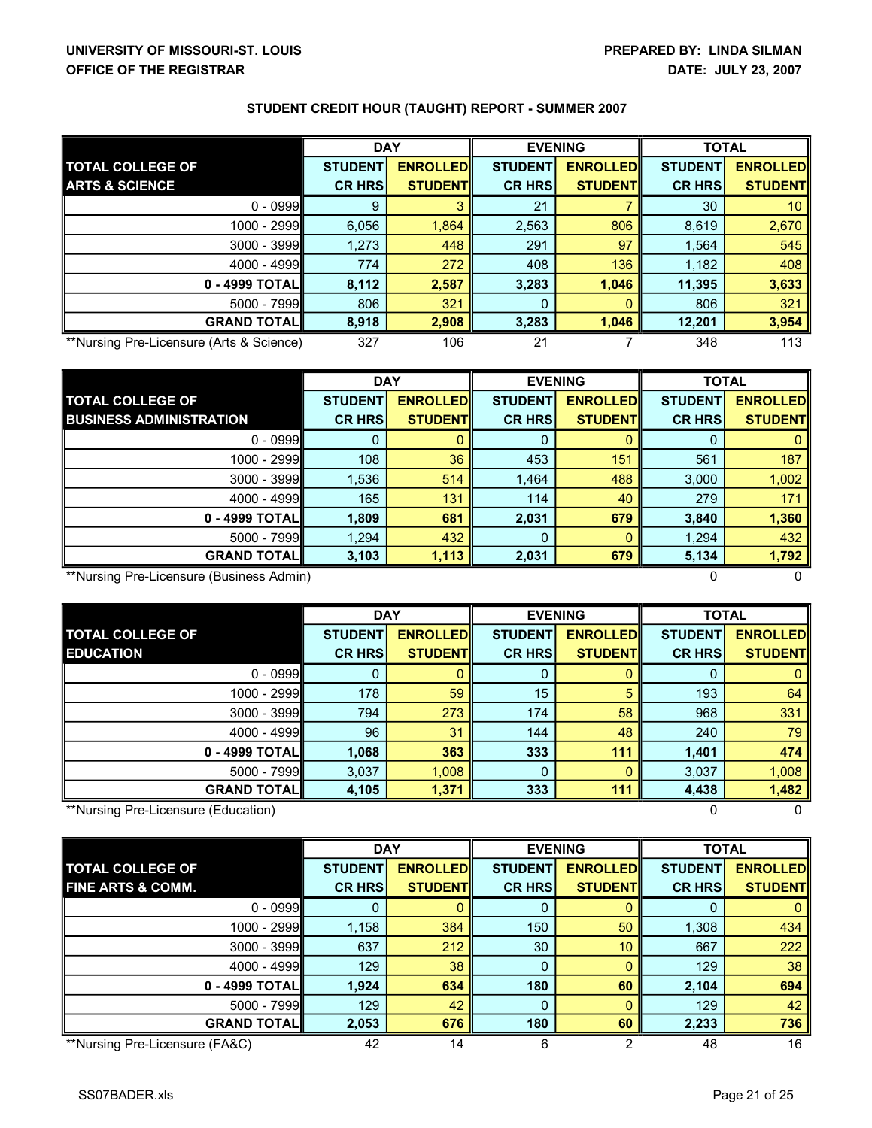|                                          | <b>DAY</b>     |                 | <b>EVENING</b> |                 | <b>TOTAL</b>   |                 |
|------------------------------------------|----------------|-----------------|----------------|-----------------|----------------|-----------------|
| <b>TOTAL COLLEGE OF</b>                  | <b>STUDENT</b> | <b>ENROLLED</b> | <b>STUDENT</b> | <b>ENROLLED</b> | <b>STUDENT</b> | <b>ENROLLED</b> |
| <b>ARTS &amp; SCIENCE</b>                | <b>CR HRS</b>  | <b>STUDENTI</b> | <b>CR HRS</b>  | <b>STUDENT</b>  | <b>CR HRS</b>  | <b>STUDENTI</b> |
| $0 - 0999$                               | 9              |                 | 21             |                 | 30             | 10              |
| 1000 - 2999                              | 6,056          | 1,864           | 2,563          | 806             | 8,619          | 2,670           |
| $3000 - 3999$                            | 1,273          | 448             | 291            | 97              | 1,564          | 545             |
| $4000 - 4999$                            | 774            | 272             | 408            | 136             | 1,182          | 408             |
| $0 - 4999$ TOTAL $\blacksquare$          | 8,112          | 2,587           | 3,283          | 1,046           | 11,395         | 3,633           |
| $5000 - 7999$                            | 806            | 321             |                |                 | 806            | 321             |
| <b>GRAND TOTALI</b>                      | 8,918          | 2,908           | 3,283          | 1,046           | 12,201         | 3,954           |
| **Nursing Pre-Licensure (Arts & Science) | 327            | 106             | 21             |                 | 348            | 113             |

|                                          | <b>DAY</b>     |                 | <b>EVENING</b> |                 | <b>TOTAL</b>   |                 |
|------------------------------------------|----------------|-----------------|----------------|-----------------|----------------|-----------------|
| <b>TOTAL COLLEGE OF</b>                  | <b>STUDENT</b> | <b>ENROLLED</b> | <b>STUDENT</b> | <b>ENROLLED</b> | <b>STUDENT</b> | <b>ENROLLED</b> |
| <b>BUSINESS ADMINISTRATION</b>           | <b>CR HRS</b>  | <b>STUDENTI</b> | <b>CR HRS</b>  | <b>STUDENTI</b> | <b>CR HRS</b>  | <b>STUDENTI</b> |
| $0 - 0999$                               | $\mathbf 0$    |                 |                |                 |                |                 |
| $1000 - 2999$                            | 108            | 36              | 453            | 151             | 561            | 187             |
| $3000 - 3999$                            | 1,536          | 514             | 1,464          | 488             | 3,000          | 1,002           |
| $4000 - 4999$                            | 165            | 131             | 114            | 40              | 279            | 171             |
| $0 - 4999$ TOTAL                         | 1,809          | 681             | 2,031          | 679             | 3,840          | 1,360           |
| $5000 - 7999$                            | 1,294          | 432             | 0              |                 | 1,294          | 432             |
| <b>GRAND TOTALI</b>                      | 3,103          | 1,113           | 2,031          | 679             | 5,134          | 1,792           |
| **Nursing Pre-Licensure (Business Admin) |                |                 |                |                 |                |                 |

|                                             | <b>DAY</b>                      |                                    | <b>EVENING</b>                  |                                    | <b>TOTAL</b>                    |                                    |
|---------------------------------------------|---------------------------------|------------------------------------|---------------------------------|------------------------------------|---------------------------------|------------------------------------|
| <b>TOTAL COLLEGE OF</b><br><b>EDUCATION</b> | <b>STUDENT</b><br><b>CR HRS</b> | <b>ENROLLED</b><br><b>STUDENTI</b> | <b>STUDENT</b><br><b>CR HRS</b> | <b>ENROLLED</b><br><b>STUDENTI</b> | <b>STUDENT</b><br><b>CR HRS</b> | <b>ENROLLED</b><br><b>STUDENTI</b> |
|                                             |                                 |                                    |                                 |                                    |                                 |                                    |
| $0 - 0999$                                  | 0                               |                                    |                                 |                                    |                                 |                                    |
| 1000 - 2999                                 | 178                             | 59                                 | 15                              |                                    | 193                             | 64                                 |
| $3000 - 3999$                               | 794                             | 273                                | 174                             | 58                                 | 968                             | 331                                |
| $4000 - 4999$                               | 96                              | 31                                 | 144                             | 48                                 | 240                             | 79                                 |
| $0 - 4999$ TOTAL                            | 1,068                           | 363                                | 333                             | 111                                | 1,401                           | 474                                |
| $5000 - 7999$                               | 3,037                           | 1,008                              | $\Omega$                        |                                    | 3,037                           | 1,008                              |
| <b>GRAND TOTALI</b>                         | 4,105                           | 1,371                              | 333                             | 111                                | 4,438                           | 1,482                              |
| **Nursing Pre-Licensure (Education)         |                                 |                                    |                                 |                                    |                                 |                                    |

|                                | <b>DAY</b>     |                  | <b>EVENING</b> |                 | <b>TOTAL</b>   |                 |
|--------------------------------|----------------|------------------|----------------|-----------------|----------------|-----------------|
| <b>TOTAL COLLEGE OF</b>        | <b>STUDENT</b> | <b>ENROLLEDI</b> | <b>STUDENT</b> | <b>ENROLLED</b> | <b>STUDENT</b> | <b>ENROLLED</b> |
| <b>FINE ARTS &amp; COMM.</b>   | <b>CR HRSI</b> | <b>STUDENTI</b>  | <b>CR HRS</b>  | <b>STUDENTI</b> | <b>CR HRS</b>  | <b>STUDENTI</b> |
| $0 - 0999$                     |                |                  |                |                 |                |                 |
| 1000 - 2999                    | 1,158          | 384              | 150            | 50              | 1,308          | 434             |
| $3000 - 3999$                  | 637            | 212              | 30             | 10              | 667            | 222             |
| $4000 - 4999$                  | 129            | 38               | 0              |                 | 129            | 38              |
| 0 - 4999 TOTAL                 | 1,924          | 634              | 180            | 60              | 2,104          | 694             |
| $5000 - 7999$                  | 129            | 42               | $\Omega$       |                 | 129            | 42              |
| <b>GRAND TOTALI</b>            | 2,053          | 676              | 180            | 60              | 2,233          | 736             |
| **Nursing Pre-Licensure (FA&C) | 42             | 14               | 6              |                 | 48             | 16              |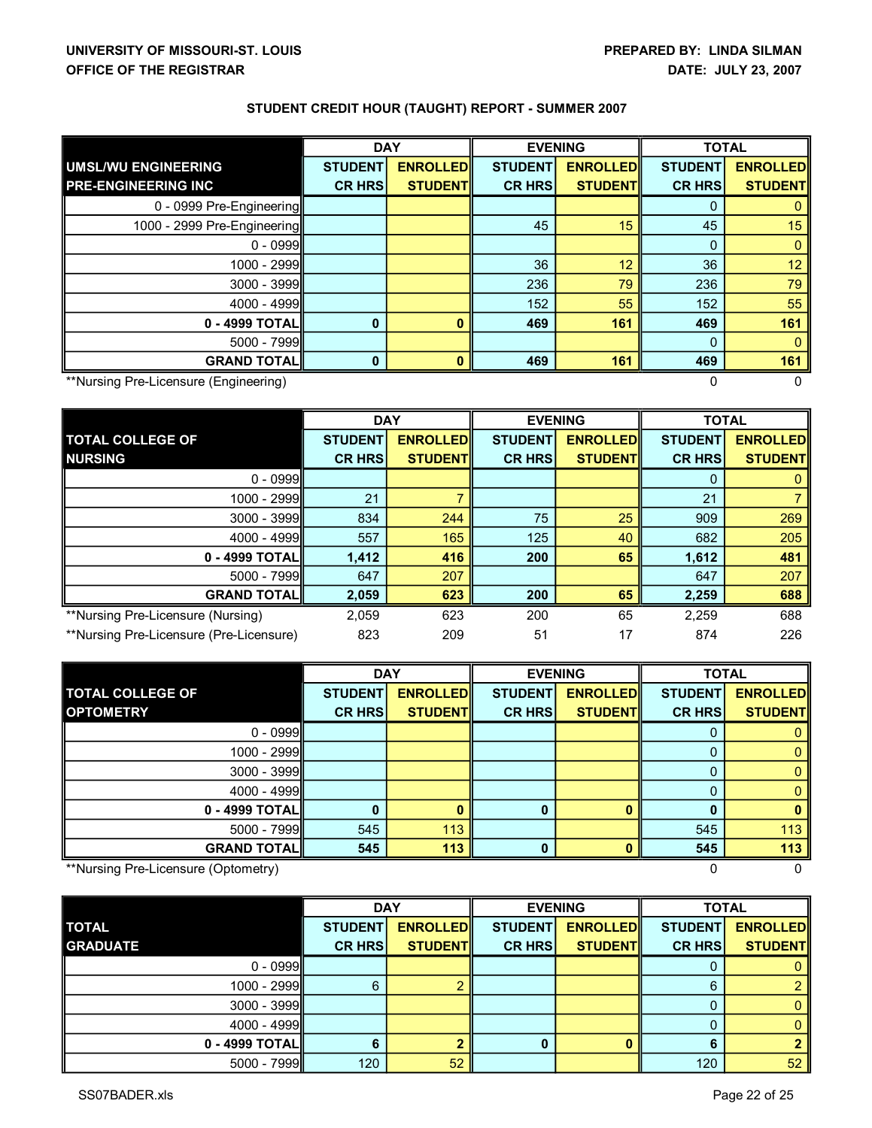|                                            | <b>DAY</b>     |                 | <b>EVENING</b> |                 | <b>TOTAL</b>   |                 |  |
|--------------------------------------------|----------------|-----------------|----------------|-----------------|----------------|-----------------|--|
| <b>UMSL/WU ENGINEERING</b>                 | <b>STUDENT</b> | <b>ENROLLED</b> | <b>STUDENT</b> | <b>ENROLLED</b> | <b>STUDENT</b> | <b>ENROLLED</b> |  |
| <b>PRE-ENGINEERING INC</b>                 | <b>CR HRS</b>  | <b>STUDENT</b>  | <b>CR HRS</b>  | <b>STUDENT</b>  | <b>CR HRS</b>  | <b>STUDENT</b>  |  |
| 0 - 0999 Pre-Engineering                   |                |                 |                |                 |                |                 |  |
| 1000 - 2999 Pre-Engineering                |                |                 | 45             | 15              | 45             | 15              |  |
| $0 - 0999$                                 |                |                 |                |                 | $\Omega$       | 0               |  |
| 1000 - 2999                                |                |                 | 36             | 12              | 36             | 12 <sup>2</sup> |  |
| $3000 - 3999$                              |                |                 | 236            | 79              | 236            | 79              |  |
| $4000 - 4999$                              |                |                 | 152            | 55              | 152            | 55              |  |
| 0 - 4999 TOTAL                             | $\bf{0}$       | 0               | 469            | 161             | 469            | 161             |  |
| $5000 - 7999$                              |                |                 |                |                 | 0              | 0               |  |
| <b>GRAND TOTALI</b>                        | $\Omega$       | n               | 469            | 161             | 469            | 161             |  |
| **Nursing Pre-Licensure (Engineering)<br>0 |                |                 |                |                 |                |                 |  |

|                                         | <b>DAY</b>     |                 | <b>EVENING</b> |                 | <b>TOTAL</b>   |                 |
|-----------------------------------------|----------------|-----------------|----------------|-----------------|----------------|-----------------|
| <b>TOTAL COLLEGE OF</b>                 | <b>STUDENT</b> | <b>ENROLLED</b> | <b>STUDENT</b> | <b>ENROLLED</b> | <b>STUDENT</b> | <b>ENROLLED</b> |
| <b>NURSING</b>                          | <b>CR HRS</b>  | <b>STUDENT</b>  | <b>CR HRS</b>  | <b>STUDENTI</b> | <b>CR HRS</b>  | <b>STUDENT</b>  |
| $0 - 0999$                              |                |                 |                |                 |                |                 |
| $1000 - 2999$                           | 21             |                 |                |                 | 21             |                 |
| $3000 - 3999$                           | 834            | 244             | 75             | 25              | 909            | 269             |
| $4000 - 4999$                           | 557            | 165             | 125            | 40              | 682            | 205             |
| 0 - 4999 TOTAL                          | 1,412          | 416             | 200            | 65              | 1,612          | 481             |
| $5000 - 7999$                           | 647            | 207             |                |                 | 647            | 207             |
| <b>GRAND TOTAL</b>                      | 2,059          | 623             | 200            | 65              | 2,259          | 688             |
| **Nursing Pre-Licensure (Nursing)       | 2,059          | 623             | 200            | 65              | 2,259          | 688             |
| **Nursing Pre-Licensure (Pre-Licensure) | 823            | 209             | 51             | 17              | 874            | 226             |

|                         | <b>DAY</b>     |                 | <b>EVENING</b> |                 | <b>TOTAL</b>   |                 |
|-------------------------|----------------|-----------------|----------------|-----------------|----------------|-----------------|
| <b>TOTAL COLLEGE OF</b> | <b>STUDENT</b> | <b>ENROLLED</b> | <b>STUDENT</b> | <b>ENROLLED</b> | <b>STUDENT</b> | <b>ENROLLED</b> |
| <b>OPTOMETRY</b>        | <b>CR HRS</b>  | <b>STUDENT</b>  | <b>CR HRS</b>  | <b>STUDENT</b>  | <b>CR HRS</b>  | <b>STUDENT</b>  |
| $0 - 0999$              |                |                 |                |                 |                |                 |
| 1000 - 2999             |                |                 |                |                 |                |                 |
| $3000 - 3999$           |                |                 |                |                 |                |                 |
| $4000 - 4999$           |                |                 |                |                 |                |                 |
| $0 - 4999$ TOTAL        |                |                 |                |                 |                |                 |
| $5000 - 7999$           | 545            | 113             |                |                 | 545            | 113             |
| <b>GRAND TOTALI</b>     | 545            | 113             |                |                 | 545            | 113             |

\*\*Nursing PreLicensure (Optometry) 0 0

|                 |                | <b>DAY</b>       |                | <b>EVENING</b>  |                | <b>TOTAL</b>    |
|-----------------|----------------|------------------|----------------|-----------------|----------------|-----------------|
| <b>TOTAL</b>    | <b>STUDENT</b> | <b>ENROLLEDI</b> | <b>STUDENT</b> | <b>ENROLLED</b> | <b>STUDENT</b> | <b>ENROLLED</b> |
| <b>GRADUATE</b> | <b>CR HRS</b>  | <b>STUDENT</b>   | <b>CR HRS</b>  | <b>STUDENT</b>  | <b>CR HRS</b>  | <b>STUDENT</b>  |
| $0 - 0999$      |                |                  |                |                 |                |                 |
| $1000 - 2999$   | 6              |                  |                |                 | ิค             |                 |
| $3000 - 3999$   |                |                  |                |                 |                |                 |
| $4000 - 4999$   |                |                  |                |                 |                |                 |
| 0 - 4999 TOTALI | 6              |                  |                |                 |                |                 |
| $5000 - 7999$   | 120            | 52               |                |                 | 120            | 52 <sub>2</sub> |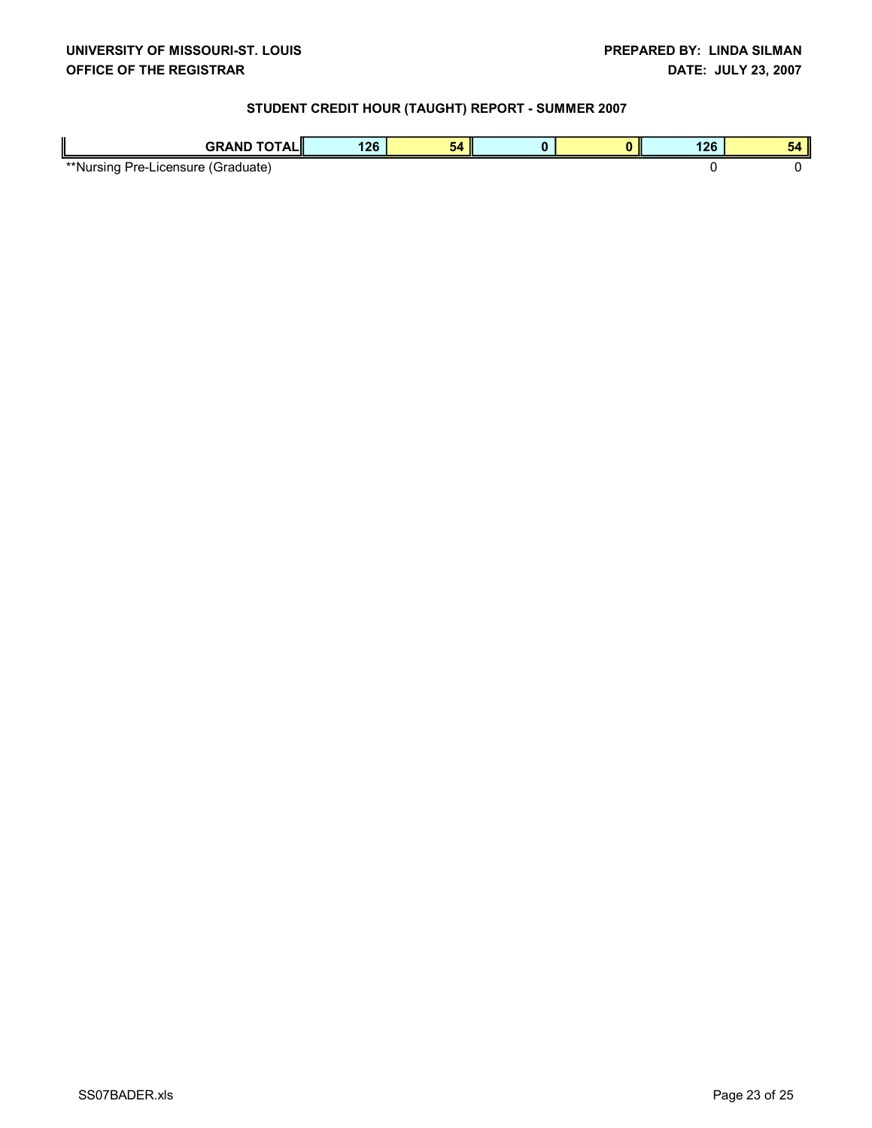| <b>GRAND TOTAL</b><br>mш.                     | 126 | $-20.25$<br>- - |  |  | <br>. ZU | . .<br>54 |
|-----------------------------------------------|-----|-----------------|--|--|----------|-----------|
| **Nursing<br>Pre-l<br>(Graduate)<br>∟icensure |     |                 |  |  |          |           |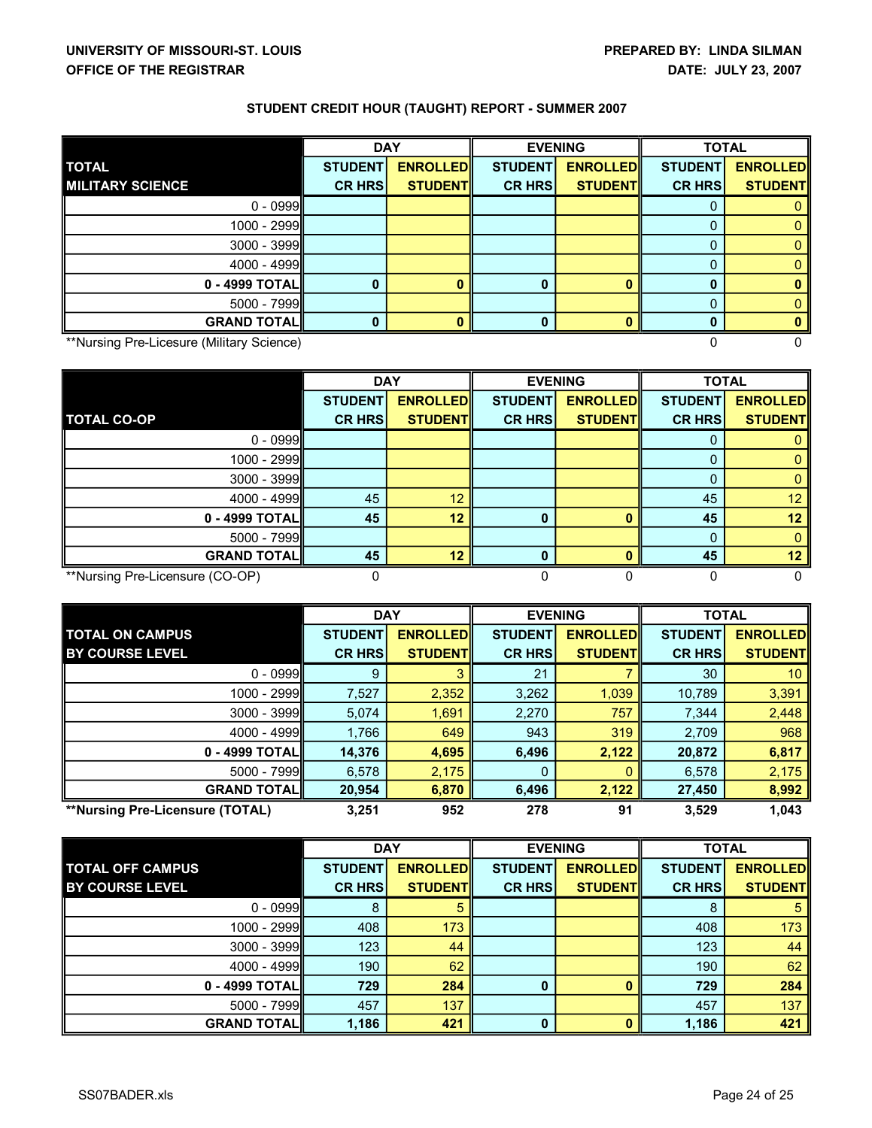|                                           | <b>DAY</b>     |                 | <b>EVENING</b> |                 | <b>TOTAL</b>   |                 |
|-------------------------------------------|----------------|-----------------|----------------|-----------------|----------------|-----------------|
| <b>TOTAL</b>                              | <b>STUDENT</b> | <b>ENROLLED</b> | <b>STUDENT</b> | <b>ENROLLED</b> | <b>STUDENT</b> | <b>ENROLLED</b> |
| <b>MILITARY SCIENCE</b>                   | <b>CR HRS</b>  | <b>STUDENT</b>  | <b>CR HRS</b>  | <b>STUDENT</b>  | <b>CR HRS</b>  | <b>STUDENT</b>  |
| $0 - 0999$                                |                |                 |                |                 |                |                 |
| 1000 - 2999                               |                |                 |                |                 |                |                 |
| $3000 - 3999$                             |                |                 |                |                 |                |                 |
| $4000 - 4999$                             |                |                 |                |                 |                |                 |
| 0 - 4999 TOTAL                            | $\bf{0}$       | 0               |                |                 |                |                 |
| $5000 - 7999$                             |                |                 |                |                 |                |                 |
| <b>GRAND TOTAL</b>                        | ŋ              |                 |                |                 |                |                 |
| **Nursing Pre-Licesure (Military Science) |                |                 |                |                 |                |                 |

|                                 | <b>DAY</b>     |                 | <b>EVENING</b> |                 | <b>TOTAL</b>   |                 |
|---------------------------------|----------------|-----------------|----------------|-----------------|----------------|-----------------|
|                                 | <b>STUDENT</b> | <b>ENROLLED</b> | <b>STUDENT</b> | <b>ENROLLED</b> | <b>STUDENT</b> | <b>ENROLLED</b> |
| <b>TOTAL CO-OP</b>              | <b>CR HRS</b>  | <b>STUDENTI</b> | <b>CR HRS</b>  | <b>STUDENT</b>  | <b>CR HRS</b>  | <b>STUDENTI</b> |
| $0 - 0999$                      |                |                 |                |                 |                |                 |
| $1000 - 2999$                   |                |                 |                |                 |                |                 |
| $3000 - 3999$                   |                |                 |                |                 |                |                 |
| $4000 - 4999$                   | 45             | 12              |                |                 | 45             | 12              |
| 0 - 4999 TOTAL                  | 45             | 12              | 0              |                 | 45             | 12 <sup>2</sup> |
| $5000 - 7999$                   |                |                 |                |                 |                |                 |
| <b>GRAND TOTAL</b>              | 45             | 12              |                |                 | 45             | 12              |
| **Nursing Pre-Licensure (CO-OP) |                |                 |                |                 |                |                 |

|                                 | <b>DAY</b>     |                 | <b>EVENING</b> |                 | <b>TOTAL</b>   |                  |
|---------------------------------|----------------|-----------------|----------------|-----------------|----------------|------------------|
| <b>TOTAL ON CAMPUS</b>          | <b>STUDENT</b> | <b>ENROLLED</b> | <b>STUDENT</b> | <b>ENROLLED</b> | <b>STUDENT</b> | <b>ENROLLEDI</b> |
| <b>BY COURSE LEVEL</b>          | <b>CR HRS</b>  | <b>STUDENTI</b> | <b>CR HRS</b>  | <b>STUDENTI</b> | <b>CR HRS</b>  | <b>STUDENTI</b>  |
| $0 - 0999$                      | 9              |                 | 21             |                 | 30             | 10               |
| 1000 - 2999                     | 7,527          | 2,352           | 3,262          | 1,039           | 10,789         | 3,391            |
| $3000 - 3999$                   | 5,074          | 1,691           | 2,270          | 757             | 7,344          | 2,448            |
| $4000 - 4999$                   | 1,766          | 649             | 943            | 319             | 2,709          | 968              |
| 0 - 4999 TOTAL                  | 14,376         | 4,695           | 6,496          | 2,122           | 20,872         | 6,817            |
| $5000 - 7999$                   | 6,578          | 2,175           | 0              |                 | 6,578          | 2,175            |
| <b>GRAND TOTALI</b>             | 20,954         | 6,870           | 6,496          | 2,122           | 27,450         | 8,992            |
| **Nursing Pre-Licensure (TOTAL) | 3.251          | 952             | 278            | 91              | 3,529          | 1.043            |

|                         | <b>DAY</b>     |                 | <b>EVENING</b> |                 | <b>TOTAL</b>   |                 |
|-------------------------|----------------|-----------------|----------------|-----------------|----------------|-----------------|
| <b>TOTAL OFF CAMPUS</b> | <b>STUDENT</b> | <b>ENROLLED</b> | <b>STUDENT</b> | <b>ENROLLED</b> | <b>STUDENT</b> | <b>ENROLLED</b> |
| <b>BY COURSE LEVEL</b>  | <b>CR HRS</b>  | <b>STUDENTI</b> | <b>CR HRS</b>  | <b>STUDENTI</b> | <b>CR HRS</b>  | <b>STUDENTI</b> |
| $0 - 0999$              | 8              | 5               |                |                 | 8              | 5               |
| $1000 - 2999$           | 408            | 173             |                |                 | 408            | 173             |
| $3000 - 3999$           | 123            | 44              |                |                 | 123            | 44              |
| $4000 - 4999$           | 190            | 62              |                |                 | 190            | 62              |
| 0 - 4999 TOTALI         | 729            | 284             | 0              |                 | 729            | 284             |
| $5000 - 7999$           | 457            | 137             |                |                 | 457            | 137             |
| <b>GRAND TOTALI</b>     | 1,186          | 421             | 0              |                 | 1,186          | 421             |